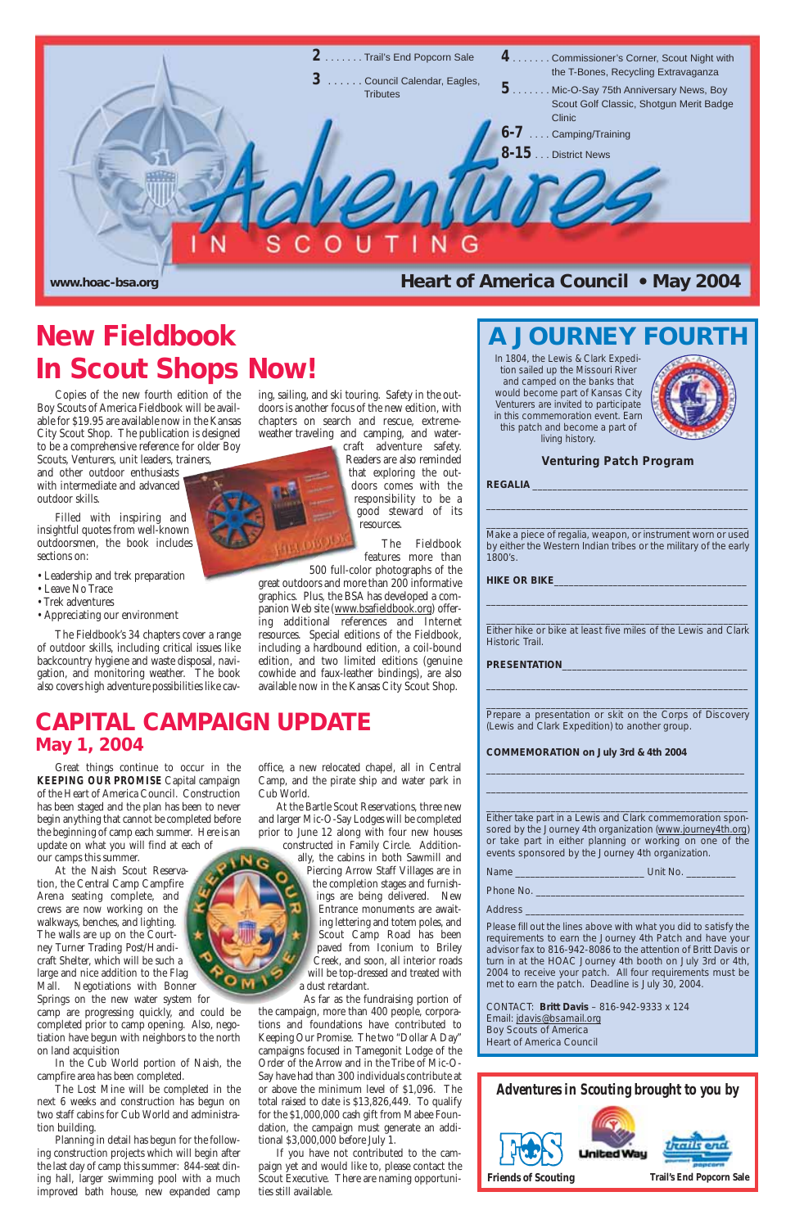

#### **Venturing Patch Program**

**REGALIA** \_\_\_\_\_\_\_\_\_\_\_\_\_\_\_\_\_\_\_\_\_\_\_\_\_\_\_\_\_\_\_\_\_\_\_\_\_\_\_\_\_\_\_

\_\_\_\_\_\_\_\_\_\_\_\_\_\_\_\_\_\_\_\_\_\_\_\_\_\_\_\_\_\_\_\_\_\_\_\_\_\_\_\_\_\_\_\_\_\_\_\_\_\_\_\_

\_\_\_\_\_\_\_\_\_\_\_\_\_\_\_\_\_\_\_\_\_\_\_\_\_\_\_\_\_\_\_\_\_\_\_\_\_\_\_\_\_\_\_\_\_\_\_\_\_\_\_\_ Make a piece of regalia, weapon, or instrument worn or used by either the Western Indian tribes or the military of the early 1800's.

**HIKE OR BIKE**\_\_\_\_\_\_\_\_\_\_\_\_\_\_\_\_\_\_\_\_\_\_\_\_\_\_\_\_\_\_\_\_\_\_\_\_\_\_\_

\_\_\_\_\_\_\_\_\_\_\_\_\_\_\_\_\_\_\_\_\_\_\_\_\_\_\_\_\_\_\_\_\_\_\_\_\_\_\_\_\_\_\_\_\_\_\_\_\_\_\_\_

PRESENTATION

\_\_\_\_\_\_\_\_\_\_\_\_\_\_\_\_\_\_\_\_\_\_\_\_\_\_\_\_\_\_\_\_\_\_\_\_\_\_\_\_\_\_\_\_\_\_\_\_\_\_\_\_ Either hike or bike at least five miles of the Lewis and Clark Historic Trail.

\_\_\_\_\_\_\_\_\_\_\_\_\_\_\_\_\_\_\_\_\_\_\_\_\_\_\_\_\_\_\_\_\_\_\_\_\_\_\_\_\_\_\_\_\_\_\_\_\_\_\_\_

\_\_\_\_\_\_\_\_\_\_\_\_\_\_\_\_\_\_\_\_\_\_\_\_\_\_\_\_\_\_\_\_\_\_\_\_\_\_\_\_\_\_\_\_\_\_\_\_\_\_\_\_ Prepare a presentation or skit on the Corps of Discovery (Lewis and Clark Expedition) to another group.

#### **COMMEMORATION on July 3rd & 4th 2004**

\_\_\_\_\_\_\_\_\_\_\_\_\_\_\_\_\_\_\_\_\_\_\_\_\_\_\_\_\_\_\_\_\_\_\_\_\_\_\_\_\_\_\_\_\_\_\_\_\_\_\_\_ \_\_\_\_\_\_\_\_\_\_\_\_\_\_\_\_\_\_\_\_\_\_\_\_\_\_\_\_\_\_\_\_\_\_\_\_\_\_\_\_\_\_\_\_\_\_\_\_\_\_\_\_ \_\_\_\_\_\_\_\_\_\_\_\_\_\_\_\_\_\_\_\_\_\_\_\_\_\_\_\_\_\_\_\_\_\_\_\_\_\_\_\_\_\_\_\_\_\_\_\_\_\_\_\_

Either take part in a Lewis and Clark commemoration sponsored by the Journey 4th organization (www.journey4th.org) or take part in either planning or working on one of the events sponsored by the Journey 4th organization.

Name \_\_\_\_\_\_\_\_\_\_\_\_\_\_\_\_\_\_\_\_\_\_\_\_\_\_ Unit No. \_\_\_\_\_\_\_\_\_\_

Phone No.

Please fill out the lines above with what you did to satisfy the requirements to earn the Journey 4th Patch and have your advisor fax to 816-942-8086 to the attention of Britt Davis or turn in at the HOAC Journey 4th booth on July 3rd or 4th, 2004 to receive your patch. All four requirements must be met to earn the patch. Deadline is July 30, 2004.

## **New Fieldbook A LA JOURNEY FOUR In Scout Shops Now!**

#### CONTACT: **Britt Davis** – 816-942-9333 x 124 Email: jdavis@bsamail.org Boy Scouts of America Heart of America Council

Copies of the new fourth edition of the Boy Scouts of America Fieldbook will be available for \$19.95 are available now in the Kansas City Scout Shop. The publication is designed to be a comprehensive reference for older Boy Scouts, Venturers, unit leaders, trainers,

and other outdoor enthusiasts with intermediate and advanced outdoor skills.

Filled with inspiring and insightful quotes from well-known outdoorsmen, the book includes sections on:

- Leadership and trek preparation
- Leave No Trace
- Trek adventures
- Appreciating our environment

The Fieldbook's 34 chapters cover a range of outdoor skills, including critical issues like backcountry hygiene and waste disposal, navigation, and monitoring weather. The book also covers high adventure possibilities like caving, sailing, and ski touring. Safety in the outdoors is another focus of the new edition, with chapters on search and rescue, extremeweather traveling and camping, and water-

craft adventure safety. Readers are also reminded that exploring the outdoors comes with the responsibility to be a good steward of its resources.

> The Fieldbook features more than



500 full-color photographs of the great outdoors and more than 200 informative graphics. Plus, the BSA has developed a companion Web site (www.bsafieldbook.org) offering additional references and Internet resources. Special editions of the Fieldbook, including a hardbound edition, a coil-bound edition, and two limited editions (genuine cowhide and faux-leather bindings), are also available now in the Kansas City Scout Shop.

Great things continue to occur in the *KEEPING OUR PROMISE* Capital campaign of the Heart of America Council. Construction has been staged and the plan has been to never begin anything that cannot be completed before the beginning of camp each summer. Here is an update on what you will find at each of our camps this summer.

At the Naish Scout Reservation, the Central Camp Campfire Arena seating complete, and

crews are now working on the walkways, benches, and lighting. The walls are up on the Courtney Turner Trading Post/Handicraft Shelter, which will be such a large and nice addition to the Flag Mall. Negotiations with Bonner Springs on the new water system for camp are progressing quickly, and could be completed prior to camp opening. Also, negotiation have begun with neighbors to the north on land acquisition

In the Cub World portion of Naish, the campfire area has been completed.

The Lost Mine will be completed in the next 6 weeks and construction has begun on two staff cabins for Cub World and administration building.

Planning in detail has begun for the following construction projects which will begin after the last day of camp this summer: 844-seat dining hall, larger swimming pool with a much improved bath house, new expanded camp

office, a new relocated chapel, all in Central Camp, and the pirate ship and water park in

Cub World.

At the Bartle Scout Reservations, three new and larger Mic-O-Say Lodges will be completed prior to June 12 along with four new houses constructed in Family Circle. Additionally, the cabins in both Sawmill and Piercing Arrow Staff Villages are in the completion stages and furnish-

ings are being delivered. New Entrance monuments are awaiting lettering and totem poles, and Scout Camp Road has been paved from Iconium to Briley Creek, and soon, all interior roads will be top-dressed and treated with a dust retardant.

As far as the fundraising portion of the campaign, more than 400 people, corporations and foundations have contributed to Keeping Our Promise. The two "Dollar A Day" campaigns focused in Tamegonit Lodge of the Order of the Arrow and in the Tribe of Mic-O-Say have had than 300 individuals contribute at or above the minimum level of \$1,096. The total raised to date is \$13,826,449. To qualify for the \$1,000,000 cash gift from Mabee Foundation, the campaign must generate an additional \$3,000,000 before July 1.

If you have not contributed to the campaign yet and would like to, please contact the Scout Executive. There are naming opportunities still available.

#### Address

## **CAPITAL CAMPAIGN UPDATE May 1, 2004**

In 1804, the Lewis & Clark Expedition sailed up the Missouri River and camped on the banks that would become part of Kansas City Venturers are invited to participate in this commemoration event. Earn this patch and become a part of living history.

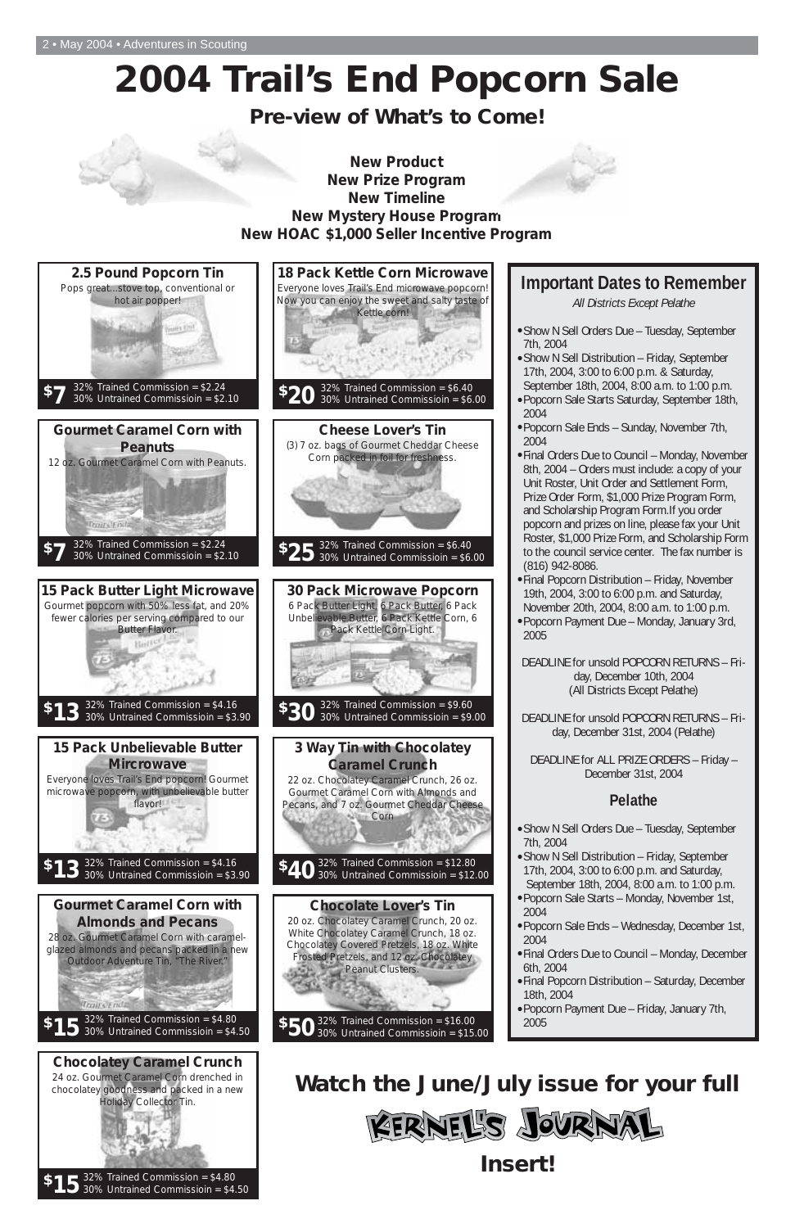# **2004 Trail's End Popcorn Sale**

## **Pre-view of What's to Come!**



32% Trained Commission = \$4.80  $$15$   $^{32\%}$  Irained Commission = \$4.80<br>**5** 30% Untrained Commissioin = \$4.50

Traits Ends

2004

20 oz. Chocolatey Caramel Crunch, 20 oz. White Chocolatey Caramel Crunch, 18 oz. Chocolatey Covered Pretzels, 18 oz. White Frosted Pretzels, and 12 oz. Chocolatey Peanut Clusters.

- •Popcorn Sale Ends Wednesday, December 1st, 2004
- •Final Orders Due to Council Monday, December 6th, 2004
- •Final Popcorn Distribution Saturday, December 18th, 2004
- •Popcorn Payment Due Friday, January 7th, 2005

#### **Gourmet Caramel Corn with Almonds and Pecans**

28 oz. Gourmet Caramel Corn with caramelglazed almonds and pecans packed in a new Outdoor Adventure Tin, "The River."

#### **Chocolate Lover's Tin**

32% Trained Commission = \$16.00 30% Untrained Commissioin = \$15.00 **\$50**

#### **Chocolatey Caramel Crunch**

24 oz. Gourmet Caramel Corn drenched in chocolatey goodness and packed in a new Holiday Collector Tin.

32% Trained Commission = \$4.80 30% Untrained Commissioin = \$4.50 **\$15**

# **Watch the June/July issue for your full**  ERNEL'S JOURNAI **Insert!**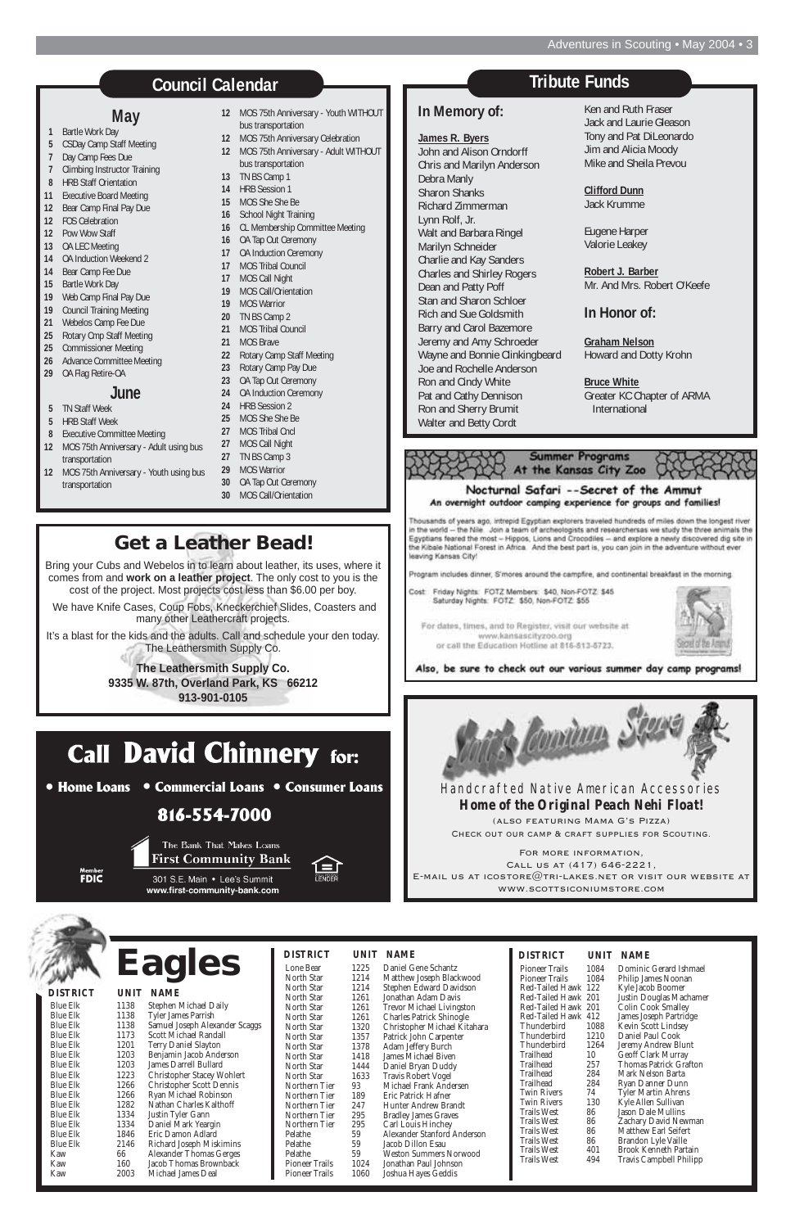|      |                               | <b>DISTRICT</b>                                                                                                                                                                                                                     |                                                                                                                                                                     | UNIT NAME                                                                                                                                                 |
|------|-------------------------------|-------------------------------------------------------------------------------------------------------------------------------------------------------------------------------------------------------------------------------------|---------------------------------------------------------------------------------------------------------------------------------------------------------------------|-----------------------------------------------------------------------------------------------------------------------------------------------------------|
| 1225 | Daniel Gene Schantz           | <b>Pioneer Trails</b>                                                                                                                                                                                                               | 1084                                                                                                                                                                | Dominic                                                                                                                                                   |
| 1214 |                               | <b>Pioneer Trails</b>                                                                                                                                                                                                               | 1084                                                                                                                                                                | Philip Jan                                                                                                                                                |
| 1214 | Stephen Edward Davidson       |                                                                                                                                                                                                                                     |                                                                                                                                                                     | Kyle Jaco                                                                                                                                                 |
| 1261 | Jonathan Adam Davis           |                                                                                                                                                                                                                                     |                                                                                                                                                                     | Justin Do                                                                                                                                                 |
| 1261 |                               |                                                                                                                                                                                                                                     |                                                                                                                                                                     | Colin Co                                                                                                                                                  |
| 1261 |                               |                                                                                                                                                                                                                                     |                                                                                                                                                                     | James Jos                                                                                                                                                 |
| 1320 |                               | <b>Thunderbird</b>                                                                                                                                                                                                                  | 1088                                                                                                                                                                | Kevin Sc                                                                                                                                                  |
| 1357 |                               | Thunderbird                                                                                                                                                                                                                         | 1210                                                                                                                                                                | Daniel Pa                                                                                                                                                 |
| 1378 | Adam Jeffery Burch            | <b>Thunderbird</b>                                                                                                                                                                                                                  | 1264                                                                                                                                                                | Jeremy A                                                                                                                                                  |
| 1418 | James Michael Biven           | Trailhead                                                                                                                                                                                                                           | 10                                                                                                                                                                  | Geoff Cla                                                                                                                                                 |
| 1444 | Daniel Bryan Duddy            | Trailhead                                                                                                                                                                                                                           | 257                                                                                                                                                                 | Thomas 1                                                                                                                                                  |
| 1633 |                               |                                                                                                                                                                                                                                     |                                                                                                                                                                     | Mark Ne                                                                                                                                                   |
| 93   | Michael Frank Andersen        |                                                                                                                                                                                                                                     |                                                                                                                                                                     | Ryan Da                                                                                                                                                   |
| 189  | Eric Patrick Hafner           |                                                                                                                                                                                                                                     |                                                                                                                                                                     | <b>Tyler Ma</b>                                                                                                                                           |
| 247  | Hunter Andrew Brandt          |                                                                                                                                                                                                                                     |                                                                                                                                                                     | Kyle Alle                                                                                                                                                 |
| 295  |                               |                                                                                                                                                                                                                                     |                                                                                                                                                                     | Jason Da                                                                                                                                                  |
| 295  | Carl Louis Hinchey            |                                                                                                                                                                                                                                     |                                                                                                                                                                     | Zachary                                                                                                                                                   |
| 59   | Alexander Stanford Anderson   |                                                                                                                                                                                                                                     |                                                                                                                                                                     | <b>Matthew</b>                                                                                                                                            |
| 59   | Jacob Dillon Esau             |                                                                                                                                                                                                                                     |                                                                                                                                                                     | <b>Brandon</b>                                                                                                                                            |
| 59   | <b>Weston Summers Norwood</b> |                                                                                                                                                                                                                                     |                                                                                                                                                                     | Brook Ke                                                                                                                                                  |
| 1024 | Jonathan Paul Johnson         |                                                                                                                                                                                                                                     |                                                                                                                                                                     | Travis Ca                                                                                                                                                 |
| 1060 | Joshua Hayes Geddis           |                                                                                                                                                                                                                                     |                                                                                                                                                                     |                                                                                                                                                           |
|      |                               | UNIT NAME<br>Matthew Joseph Blackwood<br><b>Trevor Michael Livingston</b><br><b>Charles Patrick Shinogle</b><br>Christopher Michael Kitahara<br>Patrick John Carpenter<br><b>Travis Robert Vogel</b><br><b>Bradley James Graves</b> | Trailhead<br>Trailhead<br><b>Twin Rivers</b><br>Twin Rivers<br><b>Trails West</b><br>Trails West<br>Trails West<br>Trails West<br><b>Trails West</b><br>Trails West | Red-Tailed Hawk 122<br>Red-Tailed Hawk 201<br>Red-Tailed Hawk 201<br>Red-Tailed Hawk 412<br>284<br>284<br>74<br>130<br>86<br>86<br>86<br>86<br>401<br>494 |

Kaw 160 Jacob Thomas Brownback Michael James Deal

| <b>DISTRICT</b>    |      | <b>UNIT NAME</b>             |
|--------------------|------|------------------------------|
| Pioneer Trails     | 1084 | Dominic Gerard Ishmael       |
| Pioneer Trails     | 1084 | Philip James Noonan          |
| Red-Tailed Hawk    | 122  | Kyle Jacob Boomer            |
| Red-Tailed Hawk    | 201  | Justin Douglas Machamer      |
| Red-Tailed Hawk    | 201  | <b>Colin Cook Smalley</b>    |
| Red-Tailed Hawk    | 412  | James Joseph Partridge       |
| Thunderbird        | 1088 | Kevin Scott Lindsey          |
| Thunderbird        | 1210 | Daniel Paul Cook             |
| Thunderbird        | 1264 | Jeremy Andrew Blunt          |
| Trailhead          | 10   | Geoff Clark Murray           |
| Trailhead          | 257  | Thomas Patrick Grafton       |
| Trailhead          | 284  | Mark Nelson Barta            |
| Trailhead          | 284  | Ryan Danner Dunn             |
| Twin Rivers        | 74   | <b>Tyler Martin Ahrens</b>   |
| Twin Rivers        | 130  | Kyle Allen Sullivan          |
| Trails West        | 86   | Jason Dale Mullins           |
| Trails West        | 86   | Zachary David Newman         |
| Trails West        | 86   | <b>Matthew Earl Seifert</b>  |
| Trails West        | 86   | Brandon Lyle Vaille          |
| Trails West        | 401  | <b>Brook Kenneth Partain</b> |
| <b>Trails West</b> | 494  | Travis Campbell Philipp      |
|                    |      |                              |

Blue Elk 1138 Stephen Michael Daily Blue Elk 1138 Tyler James Parrish Blue Elk 1138 Samuel Joseph Alexander Scaggs Blue Elk 1173 Scott Michael Randall<br>Blue Elk 1201 Terry Daniel Slayton 1201 Terry Daniel Slayton Blue Elk 1203 Benjamin Jacob Anderson<br>Blue Elk 1203 James Darrell Bullard Blue Elk 1203 James Darrell Bullard<br>Blue Elk 1223 Christopher Stacey W Blue Elk 1223 Christopher Stacey Wohlert Blue Elk 1266 Christopher Scott Dennis Blue Elk 1266 Ryan Michael Robinson<br>Blue Elk 1282 Nathan Charles Kalthoff Blue Elk 1282 Nathan Charles Kalthoff<br>Blue Elk 1334 Justin Tyler Gann Blue Elk 1334 Justin Tyler Gann Blue Elk 1334 Daniel Mark Yeargin Blue Elk 1846 Eric Damon Adlard<br>Blue Elk 2146 Richard Joseph Misl 2146 Richard Joseph Miskimins **DISTRICT UNIT NAME Eagles**

Kaw 66 Alexander Thomas Gerges

#### Adventures in Scouting • May 2004 • 3

#### **May**

- **1** Bartle Work Day
- **5** CSDay Camp Staff Meeting
- **7** Day Camp Fees Due
- **7** Climbing Instructor Training
- **8** HRB Staff Orientation
- **11** Executive Board Meeting
- **12** Bear Camp Final Pay Due
- **12** FOS Celebration
- **12** Pow Wow Staff
- **13** OA LEC Meeting
- **14** OA Induction Weekend 2
- **14** Bear Camp Fee Due
- **15** Bartle Work Day
- **19** Web Camp Final Pay Due
- **19** Council Training Meeting
- **21** Webelos Camp Fee Due
- **25** Rotary Cmp Staff Meeting
- **25** Commissioner Meeting
- **26** Advance Committee Meeting

#### **29** OA Flag Retire-OA

#### **June**

- **5** TN Staff Week
- **5** HRB Staff Week
- **8** Executive Committee Meeting
- **12** MOS 75th Anniversary Adult using bus transportation
- **12** MOS 75th Anniversary Youth using bus transportation
- **12** MOS 75th Anniversary Youth WITHOUT bus transportation
- **12** MOS 75th Anniversary Celebration
- **12** MOS 75th Anniversary Adult WITHOUT bus transportation
- **13** TN BS Camp 1
- **14** HRB Session 1
	-
	-
- 
- 
- 
- 
- 
- 
- 
- 
- 
- 
- 
- 
- 
- 
- **25** MOS She She Be
- **27** MOS Tribal Cncl
- **27** MOS Call Night
- **27** TN BS Camp 3
- **29** MOS Warrior
- **30** OA Tap Out Ceremony
- **30** MOS Call/Orientation
- 
- 
- 
- 
- **15** MOS She She Be
- **16** School Night Training
- **16** CL Membership Committee Meeting
- **16** OA Tap Out Ceremony
- **17** OA Induction Ceremony
- **17** MOS Tribal Council
- **17** MOS Call Night
- **19** MOS Call/Orientation
- **19** MOS Warrior
- **20** TN BS Camp 2
- **21** MOS Tribal Council
- **21** MOS Brave
- **22** Rotary Camp Staff Meeting
- **23** Rotary Camp Pay Due
- **23** OA Tap Out Ceremony
- **24** OA Induction Ceremony
- **24** HRB Session 2
	-
	-
- 
- 
- 
- 
- 



Thousands of years ago, intrepid Egyptian explorers traveled hundreds of miles down the longest river in the world -- the Nile. Join a team of archeologists and researchersas we study the three animals the Egyptians feared the most - Hippos, Lions and Crocodiles - and explore a newly discovered dig site in the Kibale National Forest in Africa. And the best part is, you can join in the adventure without ever leaving Kansas City!

Program includes dinner, S'mores around the campfire, and continental breakfast in the morning.

Also, be sure to check out our various summer day camp programs!

## **Council Calendar**

**In Memory of:**

**James R. Byers**

John and Alison Orndorff Chris and Marilyn Anderson

Debra Manly Sharon Shanks Richard Zimmerman

Lynn Rolf, Jr.

Walt and Barbara Ringel Marilyn Schneider Charlie and Kay Sanders Charles and Shirley Rogers

Dean and Patty Poff Stan and Sharon Schloer Rich and Sue Goldsmith Barry and Carol Bazemore Jeremy and Amy Schroeder Wayne and Bonnie Clinkingbeard Joe and Rochelle Anderson Ron and Cindy White Pat and Cathy Dennison Ron and Sherry Brumit Walter and Betty Cordt

Ken and Ruth Fraser Jack and Laurie Gleason Tony and Pat DiLeonardo Jim and Alicia Moody Mike and Sheila Prevou

**Clifford Dunn** Jack Krumme

Eugene Harper Valorie Leakey

**Robert J. Barber**

Mr. And Mrs. Robert O'Keefe

**In Honor of:**

**Graham Nelson**

Howard and Dotty Krohn

**Bruce White**

Greater KC Chapter of ARMA

International

**Tribute Funds**

## **Get a Leather Bead!**

Bring your Cubs and Webelos in to learn about leather, its uses, where it comes from and **work on a leather project**. The only cost to you is the cost of the project. Most projects cost less than \$6.00 per boy.

We have Knife Cases, Coup Fobs, Kneckerchief Slides, Coasters and many other Leathercraft projects.

It's a blast for the kids and the adults. Call and schedule your den today. The Leathersmith Supply Co.

> **The Leathersmith Supply Co. 9335 W. 87th, Overland Park, KS 66212 913-901-0105**

# **Call David Chinnery for:**

• Home Loans • Commercial Loans • Consumer Loans

## 816-554-7000

**FDIC** 

301 S.E. Main . Lee's Summit www.first-community-bank.com

The Bank That Makes Loans First Community Bank

Handcrafted Native American Accessories *Home of the O ome of the Original P riginal Peach Nehi Float!* (also featuring Mama G's Pizza) Check out our camp & craft supplies for Scouting. For more information, Call us at (417) 646-2221, E-MAIL US AT ICOSTORE $@$ TRI-LAKES.NET OR VISIT OUR WEBSITE AT www.scottsiconiumstore.com

ts Conium S

Cost Friday Nights: FOTZ Members: \$40, Non-FOTZ: \$45<br>Saturday Nights: FOTZ: \$50, Non-FOTZ: \$55

For dates, times, and to Register, visit our website at www.kansascityzoo.org or call the Education Hotline at \$16-513-5723.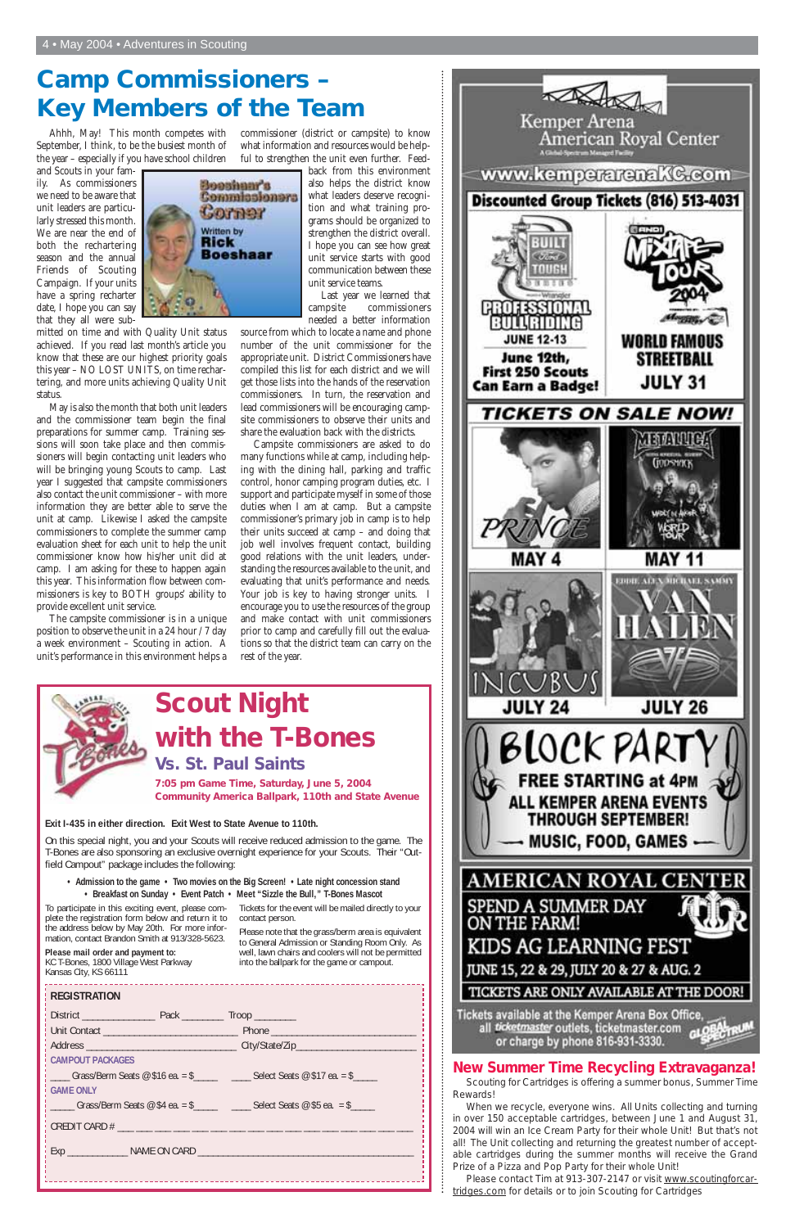#### **REGISTRATION**

District \_\_\_\_\_\_\_\_\_\_\_\_\_\_ Pack \_\_\_\_\_\_\_\_ Troop \_\_\_\_\_\_\_\_ Unit Contact \_\_\_\_\_\_\_\_\_\_\_\_\_\_\_\_\_\_\_\_\_\_\_\_\_\_ Phone \_\_\_\_\_\_\_\_\_\_\_\_\_\_\_\_\_\_\_\_\_\_\_\_\_\_\_\_

Address \_\_\_\_\_\_\_\_\_\_\_\_\_\_\_\_\_\_\_\_\_\_\_\_\_\_\_\_\_ City/State/Zip\_\_\_\_\_\_\_\_\_\_\_\_\_\_\_\_\_\_\_\_\_\_\_

#### **CAMPOUT PACKAGES**

 $\_$  Grass/Berm Seats @ \$16 ea. = \$ $\_$   $\_$   $\_$ Select Seats @ \$17 ea. = \$ $\_$ 

#### **GAME ONLY**

 $\angle$  Grass/Berm Seats @ \$4 ea. = \$ $\angle$   $\angle$  Select Seats @ \$5 ea. = \$ $\angle$ 

CREDIT CARD # \_\_\_ \_\_\_ \_\_\_ \_\_\_ \_\_\_ \_\_\_ \_\_\_ \_\_\_ \_\_\_ \_\_\_ \_\_\_ \_\_\_ \_\_\_ \_\_\_ \_\_\_ \_\_\_

Exp \_\_\_\_\_\_\_\_\_\_\_\_ NAME ON CARD \_\_\_\_\_\_\_\_\_\_\_\_\_\_\_\_\_\_\_\_\_\_\_\_\_\_\_\_\_\_\_\_\_\_\_\_\_\_\_\_\_\_\_

#### **Exit I-435 in either direction. Exit West to State Avenue to 110th.**

On this special night, you and your Scouts will receive reduced admission to the game. The T-Bones are also sponsoring an exclusive overnight experience for your Scouts. Their "Outfield Campout" package includes the following:

**• Admission to the game • Two movies on the Big Screen! • Late night concession stand • Breakfast on Sunday • Event Patch • Meet "Sizzle the Bull," T-Bones Mascot**

To participate in this exciting event, please complete the registration form below and return it to the address below by May 20th. For more information, contact Brandon Smith at 913/328-5623.

#### **Please mail order and payment to:**

KC T-Bones, 1800 Village West Parkway Kansas City, KS 66111

Tickets for the event will be mailed directly to your contact person.

Please note that the grass/berm area is equivalent to General Admission or Standing Room Only. As well, lawn chairs and coolers will not be permitted into the ballpark for the game or campout.



Tickets available at the Kemper Arena Box Office, all ticketmaster outlets, ticketmaster.com or charge by phone 816-931-3330.

## **Scout Night with the T-Bones Vs. St. Paul Saints 7:05 pm Game Time, Saturday, June 5, 2004 Community America Ballpark, 110th and State Avenue**

## **Camp Commissioners – Key Members of the Team**

#### **New Summer Time Recycling Extravaganza!**

A nu

Scouting for Cartridges is offering a summer bonus, Summer Time Rewards!

When we recycle, everyone wins. All Units collecting and turning in over 150 acceptable cartridges, between June 1 and August 31, 2004 will win an Ice Cream Party for their whole Unit! But that's not all! The Unit collecting and returning the greatest number of acceptable cartridges during the summer months will receive the Grand Prize of a Pizza and Pop Party for their whole Unit!

Please contact Tim at 913-307-2147 or visit www.scoutingforcartridges.com for details or to join Scouting for Cartridges

Ahhh, May! This month competes with September, I think, to be the busiest month of the year – especially if you have school children

and Scouts in your family. As commissioners we need to be aware that unit leaders are particularly stressed this month. We are near the end of both the rechartering season and the annual Friends of Scouting Campaign. If your units have a spring recharter date, I hope you can say that they all were sub-



May is also the month that both unit leaders and the commissioner team begin the final preparations for summer camp. Training sessions will soon take place and then commissioners will begin contacting unit leaders who will be bringing young Scouts to camp. Last year I suggested that campsite commissioners also contact the unit commissioner – with more information they are better able to serve the unit at camp. Likewise I asked the campsite commissioners to complete the summer camp evaluation sheet for each unit to help the unit commissioner know how his/her unit did at camp. I am asking for these to happen again this year. This information flow between commissioners is key to BOTH groups' ability to provide excellent unit service.

The campsite commissioner is in a unique position to observe the unit in a 24 hour / 7 day a week environment – Scouting in action. A unit's performance in this environment helps a



commissioner (district or campsite) to know what information and resources would be helpful to strengthen the unit even further. Feed-

> back from this environment also helps the district know what leaders deserve recognition and what training programs should be organized to strengthen the district overall. I hope you can see how great unit service starts with good communication between these unit service teams.

> Last year we learned that campsite commissioners needed a better information

source from which to locate a name and phone number of the unit commissioner for the appropriate unit. District Commissioners have compiled this list for each district and we will get those lists into the hands of the reservation commissioners. In turn, the reservation and lead commissioners will be encouraging campsite commissioners to observe their units and share the evaluation back with the districts.

Campsite commissioners are asked to do many functions while at camp, including helping with the dining hall, parking and traffic control, honor camping program duties, etc. I support and participate myself in some of those duties when I am at camp. But a campsite commissioner's primary job in camp is to help their units succeed at camp – and doing that job well involves frequent contact, building good relations with the unit leaders, understanding the resources available to the unit, and evaluating that unit's performance and needs. Your job is key to having stronger units. I encourage you to use the resources of the group and make contact with unit commissioners prior to camp and carefully fill out the evaluations so that the district team can carry on the rest of the year.



Kemper Arena<br>American Royal Center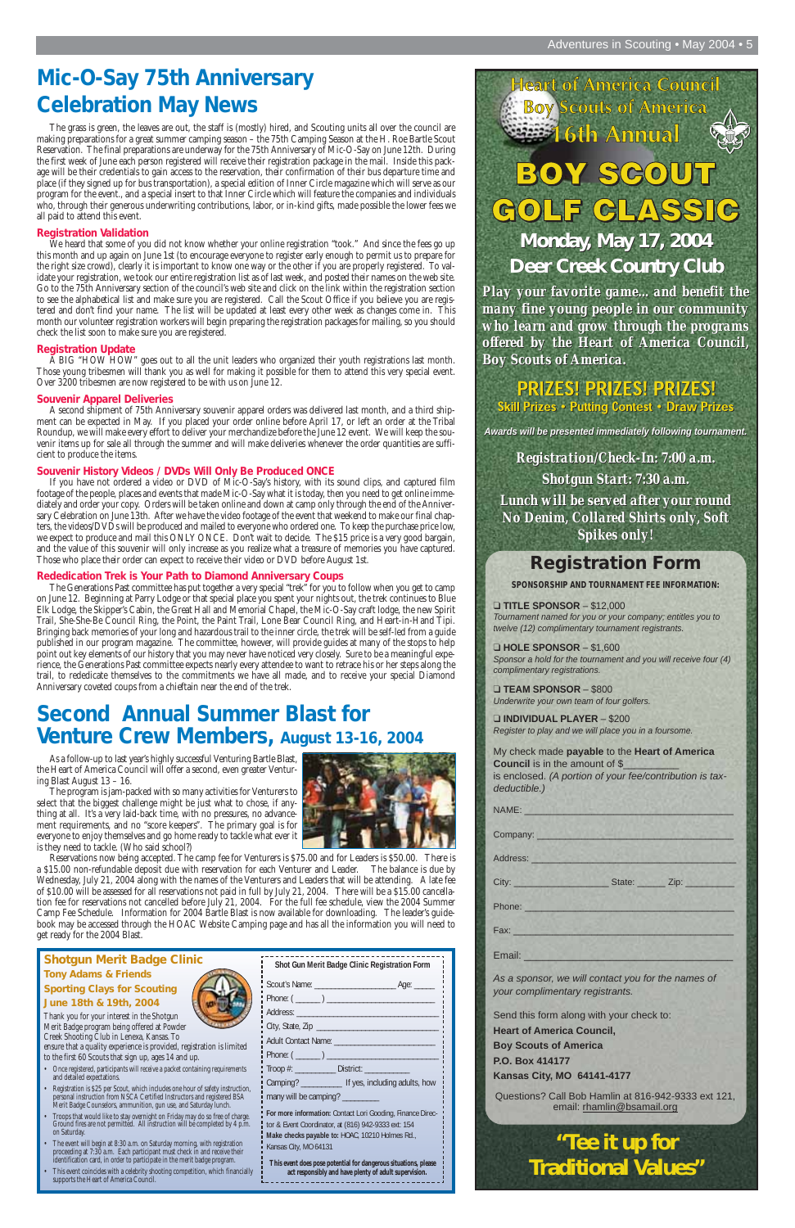Thank you for your interest in the Shotgun Merit Badge program being offered at Powder Creek Shooting Club in Lenexa, Kansas. To

ensure that a quality experience is provided, registration is limited to the first 60 Scouts that sign up, ages 14 and up.

- Once registered, participants will receive a packet containing requirements and detailed expectations.
- Registration is \$25 per Scout, which includes one hour of safety instruction, personal instruction from NSCA Certified Instructors and registered BSA Merit Badge Counselors, ammunition, gun use, and Saturday lunch.
- Troops that would like to stay overnight on Friday may do so free of charge. Ground fires are not permitted. All instruction will be completed by 4 p.m. on Saturday.
- The event will begin at 8:30 a.m. on Saturday morning, with registration proceeding at 7:30 a.m. Each participant must check in and receive their identification card, in order to participate in the merit badge program.
- This event coincides with a celebrity shooting competition, which financially supports the Heart of America Council.

#### **Shotgun Merit Badge Clinic**

#### **Tony Adams & Friends Sporting Clays for Scouting June 18th & 19th, 2004**

## **Mic-O-Say 75th Anniversary Celebration May News**

The grass is green, the leaves are out, the staff is (mostly) hired, and Scouting units all over the council are making preparations for a great summer camping season – the 75th Camping Season at the H. Roe Bartle Scout Reservation. The final preparations are underway for the 75th Anniversary of Mic-O-Say on June 12th. During the first week of June each person registered will receive their registration package in the mail. Inside this package will be their credentials to gain access to the reservation, their confirmation of their bus departure time and place (if they signed up for bus transportation), a special edition of Inner Circle magazine which will serve as our program for the event., and a special insert to that Inner Circle which will feature the companies and individuals who, through their generous underwriting contributions, labor, or in-kind gifts, made possible the lower fees we all paid to attend this event.

#### **Registration Validation**

We heard that some of you did not know whether your online registration "took." And since the fees go up this month and up again on June 1st (to encourage everyone to register early enough to permit us to prepare for the right size crowd), clearly it is important to know one way or the other if you are properly registered. To validate your registration, we took our entire registration list as of last week, and posted their names on the web site. Go to the 75th Anniversary section of the council's web site and click on the link within the registration section to see the alphabetical list and make sure you are registered. Call the Scout Office if you believe you are registered and don't find your name. The list will be updated at least every other week as changes come in. This month our volunteer registration workers will begin preparing the registration packages for mailing, so you should check the list soon to make sure you are registered.

#### **Registration Update**

The program is jam-packed with so many activities for Venturers to select that the biggest challenge might be just what to chose, if anything at all. It's a very laid-back time, with no pressures, no advancement requirements, and no "score keepers". The primary goal is for everyone to enjoy themselves and go home ready to tackle what ever it is they need to tackle. (Who said school?)



A BIG "HOW HOW" goes out to all the unit leaders who organized their youth registrations last month. Those young tribesmen will thank you as well for making it possible for them to attend this very special event. Over 3200 tribesmen are now registered to be with us on June 12.

#### **Souvenir Apparel Deliveries**

| Shot Gun Merit Badge Clinic Registration Form                                                                                                                                                                                  |
|--------------------------------------------------------------------------------------------------------------------------------------------------------------------------------------------------------------------------------|
|                                                                                                                                                                                                                                |
|                                                                                                                                                                                                                                |
|                                                                                                                                                                                                                                |
|                                                                                                                                                                                                                                |
|                                                                                                                                                                                                                                |
| Phone: ( ) and the contract of the contract of the contract of the contract of the contract of the contract of the contract of the contract of the contract of the contract of the contract of the contract of the contract of |
| Troop #: _______________ District: ______________                                                                                                                                                                              |
| Camping? ______________ If yes, including adults, how                                                                                                                                                                          |
| many will be camping? ________                                                                                                                                                                                                 |
|                                                                                                                                                                                                                                |

A second shipment of 75th Anniversary souvenir apparel orders was delivered last month, and a third shipment can be expected in May. If you placed your order online before April 17, or left an order at the Tribal Roundup, we will make every effort to deliver your merchandize before the June 12 event. We will keep the souvenir items up for sale all through the summer and will make deliveries whenever the order quantities are sufficient to produce the items.

#### **Souvenir History Videos / DVDs Will Only Be Produced ONCE**

**Council** is in the amount of \$\_ is enclosed. *(A portion of your fee/contribution is taxdeductible.)*

If you have not ordered a video or DVD of Mic-O-Say's history, with its sound clips, and captured film footage of the people, places and events that made Mic-O-Say what it is today, then you need to get online immediately and order your copy. Orders will be taken online and down at camp only through the end of the Anniversary Celebration on June 13th. After we have the video footage of the event that weekend to make our final chapters, the videos/DVDs will be produced and mailed to everyone who ordered one. To keep the purchase price low, we expect to produce and mail this ONLY ONCE. Don't wait to decide. The \$15 price is a very good bargain, and the value of this souvenir will only increase as you realize what a treasure of memories you have captured. Those who place their order can expect to receive their video or DVD before August 1st.

*Registration/Check-In: 7:00 a.m. Shotgun Start: 7:30 a.m. Lunch will be served after your round No Denim, Collared Shirts only, Soft Spikes only! Registration/Check-In: 7:00 a.m.<br>Shotgun Start: 7:30 a.m.<br>Lunch will be served after your round<br>No Denim, Collared Shirts only, Soft<br>Spikes only!* 

#### **Rededication Trek is Your Path to Diamond Anniversary Coups**

## $S(G(0)U)$ GLASSIG **Monday, May 17, 2004 Monday, May 17, 2004 Deer Creek Country Club Deer Creek Country Club**

The Generations Past committee has put together a very special "trek" for you to follow when you get to camp on June 12. Beginning at Parry Lodge or that special place you spent your nights out, the trek continues to Blue Elk Lodge, the Skipper's Cabin, the Great Hall and Memorial Chapel, the Mic-O-Say craft lodge, the new Spirit Trail, She-She-Be Council Ring, the Point, the Paint Trail, Lone Bear Council Ring, and Heart-in-Hand Tipi. Bringing back memories of your long and hazardous trail to the inner circle, the trek will be self-led from a guide published in our program magazine. The committee, however, will provide guides at many of the stops to help point out key elements of our history that you may never have noticed very closely. Sure to be a meaningful experience, the Generations Past committee expects nearly every attendee to want to retrace his or her steps along the trail, to rededicate themselves to the commitments we have all made, and to receive your special Diamond Anniversary coveted coups from a chieftain near the end of the trek.

## **Second Annual Summer Blast for Venture Crew Members, August 13-16, 2004**

As a follow-up to last year's highly successful Venturing Bartle Blast, the Heart of America Council will offer a second, even greater Venturing Blast August 13 – 16.

Reservations now being accepted. The camp fee for Venturers is \$75.00 and for Leaders is \$50.00. There is a \$15.00 non-refundable deposit due with reservation for each Venturer and Leader. The balance is due by Wednesday, July 21, 2004 along with the names of the Venturers and Leaders that will be attending. A late fee of \$10.00 will be assessed for all reservations not paid in full by July 21, 2004. There will be a \$15.00 cancellation fee for reservations not cancelled before July 21, 2004. For the full fee schedule, view the 2004 Summer Camp Fee Schedule. Information for 2004 Bartle Blast is now available for downloading. The leader's guidebook may be accessed through the HOAC Website Camping page and has all the information you will need to get ready for the 2004 Blast.

## **Heart of America Council Boy Scouts of America** Annual

**For more information:** Contact Lori Gooding, Finance Director & Event Coordinator, at (816) 942-9333 ext: 154 **Make checks payable to:** HOAC, 10210 Holmes Rd., Kansas City, MO 64131

**This event does pose potential for dangerous situations, please act responsibly and have plenty of adult supervision.**

## **Registration Form**

**SPONSORSHIP AND TOURNAMENT FEE INFORMATION:**

#### ❑ **TITLE SPONSOR** – \$12,000

*Tournament named for you or your company; entitles you to twelve (12) complimentary tournament registrants.*

❑ **HOLE SPONSOR** – \$1,600 *Sponsor a hold for the tournament and you will receive four (4) complimentary registrations.*

❑ **TEAM SPONSOR** – \$800 *Underwrite your own team of four golfers.*

❑ **INDIVIDUAL PLAYER** – \$200 *Register to play and we will place you in a foursome.*

#### My check made **payable** to the **Heart of America**

NAME: \_\_\_\_\_\_\_\_\_\_\_\_\_\_\_\_\_\_\_\_\_\_\_\_\_\_\_\_\_\_\_\_\_\_\_\_\_

Company: \_\_\_\_\_\_\_\_\_\_\_\_\_\_\_\_\_\_\_\_\_\_\_\_\_\_\_\_\_\_\_\_\_\_\_

Address: \_\_\_\_\_\_\_\_\_\_\_\_\_\_\_\_\_\_\_\_\_\_\_\_\_\_\_\_\_\_\_\_\_\_\_\_\_

City: \_\_\_\_\_\_\_\_\_\_\_\_\_\_\_\_\_ State: \_\_\_\_\_ Zip: \_\_\_\_\_\_\_\_\_

| Phone:                                                                                |
|---------------------------------------------------------------------------------------|
| Fax:                                                                                  |
| Email:                                                                                |
| As a sponsor, we will contact you for the names of<br>your complimentary registrants. |
| Send this form along with your check to:                                              |
| <b>Heart of America Council,</b>                                                      |
| <b>Boy Scouts of America</b>                                                          |
| <b>P.O. Box 414177</b>                                                                |
| <b>Kansas City, MO 64141-4177</b>                                                     |
| Questions? Call Bob Hamlin at 816-942-9333 ext 121,<br>email: rhamlin@bsamail.org     |
| "Tee it up for<br><b>Traditional Values"</b>                                          |

*Play your favorite game... and benefit the many fine young people in our community Play your favorite and benefit thefine people in our community who learn and grow through the programs offered by the Heart of America Council, who learn and through the programsby the Heart of America Council, Boy Scouts of America. Scouts of America.*

## **PRIZES! PRIZES! PRIZES!**

**Skill Prizes • Putting Contest • Draw Prizes** 

*Awards will be presented immediately following tournament. Awards will be presented immediately following tournament.*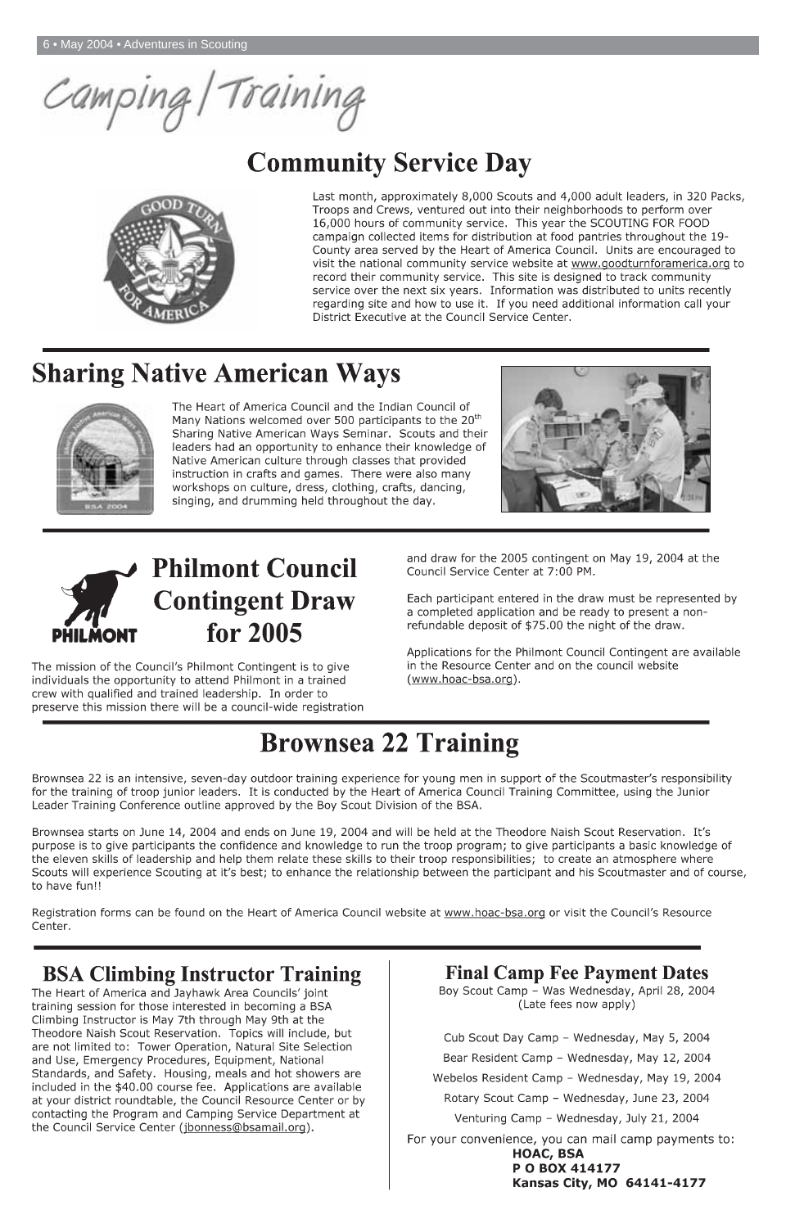Camping/Training

# **Community Service Day**



Last month, approximately 8,000 Scouts and 4,000 adult leaders, in 320 Packs, Troops and Crews, ventured out into their neighborhoods to perform over 16,000 hours of community service. This year the SCOUTING FOR FOOD campaign collected items for distribution at food pantries throughout the 19-County area served by the Heart of America Council. Units are encouraged to visit the national community service website at www.goodturnforamerica.org to record their community service. This site is designed to track community service over the next six years. Information was distributed to units recently regarding site and how to use it. If you need additional information call your District Executive at the Council Service Center.

# **Sharing Native American Ways**



The Heart of America Council and the Indian Council of Many Nations welcomed over 500 participants to the 20<sup>th</sup> Sharing Native American Ways Seminar. Scouts and their leaders had an opportunity to enhance their knowledge of Native American culture through classes that provided instruction in crafts and games. There were also many workshops on culture, dress, clothing, crafts, dancing, singing, and drumming held throughout the day.



# **Philmont Council Contingent Draw** for 2005

and draw for the 2005 contingent on May 19, 2004 at the Council Service Center at 7:00 PM.

Each participant entered in the draw must be represented by a completed application and be ready to present a nonrefundable deposit of \$75.00 the night of the draw.

Applications for the Philmont Council Contingent are available in the Resource Center and on the council website (www.hoac-bsa.org).

The mission of the Council's Philmont Contingent is to give individuals the opportunity to attend Philmont in a trained crew with qualified and trained leadership. In order to preserve this mission there will be a council-wide registration

# **Brownsea 22 Training**

Brownsea 22 is an intensive, seven-day outdoor training experience for young men in support of the Scoutmaster's responsibility for the training of troop junior leaders. It is conducted by the Heart of America Council Training Committee, using the Junior Leader Training Conference outline approved by the Boy Scout Division of the BSA.

Brownsea starts on June 14, 2004 and ends on June 19, 2004 and will be held at the Theodore Naish Scout Reservation. It's purpose is to give participants the confidence and knowledge to run the troop program; to give participants a basic knowledge of the eleven skills of leadership and help them relate these skills to their troop responsibilities; to create an atmosphere where Scouts will experience Scouting at it's best; to enhance the relationship between the participant and his Scoutmaster and of course, to have fun!!

Registration forms can be found on the Heart of America Council website at www.hoac-bsa.org or visit the Council's Resource Center.

## **BSA Climbing Instructor Training**

The Heart of America and Jayhawk Area Councils' joint training session for those interested in becoming a BSA Climbing Instructor is May 7th through May 9th at the Theodore Naish Scout Reservation. Topics will include, but are not limited to: Tower Operation, Natural Site Selection and Use, Emergency Procedures, Equipment, National Standards, and Safety. Housing, meals and hot showers are included in the \$40.00 course fee. Applications are available at your district roundtable, the Council Resource Center or by contacting the Program and Camping Service Department at the Council Service Center (jbonness@bsamail.org).

**Final Camp Fee Payment Dates** Boy Scout Camp - Was Wednesday, April 28, 2004 (Late fees now apply)

Cub Scout Day Camp - Wednesday, May 5, 2004 Bear Resident Camp - Wednesday, May 12, 2004 Webelos Resident Camp - Wednesday, May 19, 2004 Rotary Scout Camp - Wednesday, June 23, 2004 Venturing Camp - Wednesday, July 21, 2004 For your convenience, you can mail camp payments to: **HOAC, BSA** P O BOX 414177 Kansas City, MO 64141-4177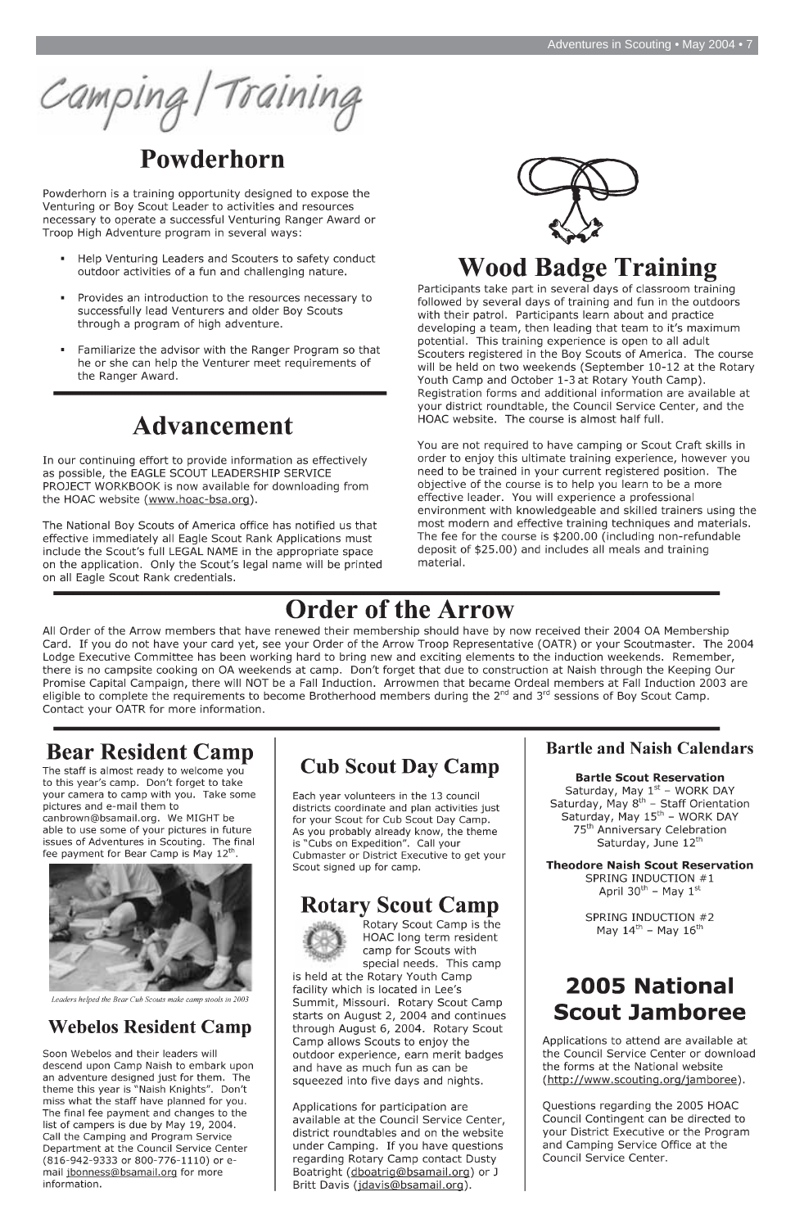Camping/Training

## Powderhorn

Powderhorn is a training opportunity designed to expose the Venturing or Boy Scout Leader to activities and resources necessary to operate a successful Venturing Ranger Award or Troop High Adventure program in several ways:

- Help Venturing Leaders and Scouters to safety conduct outdoor activities of a fun and challenging nature.
- Provides an introduction to the resources necessary to successfully lead Venturers and older Boy Scouts through a program of high adventure.
- Familiarize the advisor with the Ranger Program so that he or she can help the Venturer meet requirements of the Ranger Award.

## **Advancement**

In our continuing effort to provide information as effectively as possible, the EAGLE SCOUT LEADERSHIP SERVICE PROJECT WORKBOOK is now available for downloading from the HOAC website (www.hoac-bsa.org).

The National Boy Scouts of America office has notified us that effective immediately all Eagle Scout Rank Applications must include the Scout's full LEGAL NAME in the appropriate space on the application. Only the Scout's legal name will be printed on all Eagle Scout Rank credentials.



## **Wood Badge Training**

Participants take part in several days of classroom training followed by several days of training and fun in the outdoors with their patrol. Participants learn about and practice developing a team, then leading that team to it's maximum potential. This training experience is open to all adult Scouters registered in the Boy Scouts of America. The course will be held on two weekends (September 10-12 at the Rotary Youth Camp and October 1-3 at Rotary Youth Camp). Registration forms and additional information are available at your district roundtable, the Council Service Center, and the HOAC website. The course is almost half full.

You are not required to have camping or Scout Craft skills in order to enjoy this ultimate training experience, however you need to be trained in your current registered position. The objective of the course is to help you learn to be a more effective leader. You will experience a professional environment with knowledgeable and skilled trainers using the most modern and effective training techniques and materials. The fee for the course is \$200.00 (including non-refundable deposit of \$25.00) and includes all meals and training material.

## **Order of the Arrow**

All Order of the Arrow members that have renewed their membership should have by now received their 2004 OA Membership Card. If you do not have your card yet, see your Order of the Arrow Troop Representative (OATR) or your Scoutmaster. The 2004 Lodge Executive Committee has been working hard to bring new and exciting elements to the induction weekends. Remember, there is no campsite cooking on OA weekends at camp. Don't forget that due to construction at Naish through the Keeping Our Promise Capital Campaign, there will NOT be a Fall Induction. Arrowmen that became Ordeal members at Fall Induction 2003 are eligible to complete the requirements to become Brotherhood members during the 2<sup>nd</sup> and 3<sup>rd</sup> sessions of Boy Scout Camp. Contact your OATR for more information.

## **Bear Resident Camp**

The staff is almost ready to welcome you to this year's camp. Don't forget to take your camera to camp with you. Take some pictures and e-mail them to canbrown@bsamail.org. We MIGHT be able to use some of your pictures in future issues of Adventures in Scouting. The final fee payment for Bear Camp is May 12<sup>th</sup>.



## **Cub Scout Day Camp**

Each year volunteers in the 13 council districts coordinate and plan activities just for your Scout for Cub Scout Day Camp. As you probably already know, the theme is "Cubs on Expedition". Call your Cubmaster or District Executive to get your Scout signed up for camp.

#### **Bartle and Naish Calendars**

#### **Bartle Scout Reservation**

Saturday, May  $1^{st}$  – WORK DAY<br>Saturday, May  $8^{th}$  – Staff Orientation Saturday, May 15<sup>th</sup> - WORK DAY 75<sup>th</sup> Anniversary Celebration Saturday, June 12th

**Theodore Naish Scout Reservation** SPRING INDUCTION #1 April  $30^{th}$  – May  $1^{st}$ 

Leaders helped the Bear Cub Scouts make camp stools in 2003

## **Webelos Resident Camp**

Soon Webelos and their leaders will descend upon Camp Naish to embark upon an adventure designed just for them. The theme this year is "Naish Knights". Don't miss what the staff have planned for you. The final fee payment and changes to the list of campers is due by May 19, 2004. Call the Camping and Program Service Department at the Council Service Center (816-942-9333 or 800-776-1110) or email jbonness@bsamail.org for more information.

## **Rotary Scout Camp**



Rotary Scout Camp is the HOAC long term resident camp for Scouts with special needs. This camp

is held at the Rotary Youth Camp facility which is located in Lee's Summit, Missouri. Rotary Scout Camp starts on August 2, 2004 and continues through August 6, 2004. Rotary Scout Camp allows Scouts to enjoy the outdoor experience, earn merit badges and have as much fun as can be squeezed into five days and nights.

Applications for participation are available at the Council Service Center, district roundtables and on the website under Camping. If you have questions regarding Rotary Camp contact Dusty Boatright (dboatrig@bsamail.org) or J Britt Davis (jdavis@bsamail.org).

SPRING INDUCTION #2 May  $14^{th}$  – May  $16^{th}$ 

## **2005 National Scout Jamboree**

Applications to attend are available at the Council Service Center or download the forms at the National website (http://www.scouting.org/jamboree).

Questions regarding the 2005 HOAC Council Contingent can be directed to your District Executive or the Program and Camping Service Office at the Council Service Center.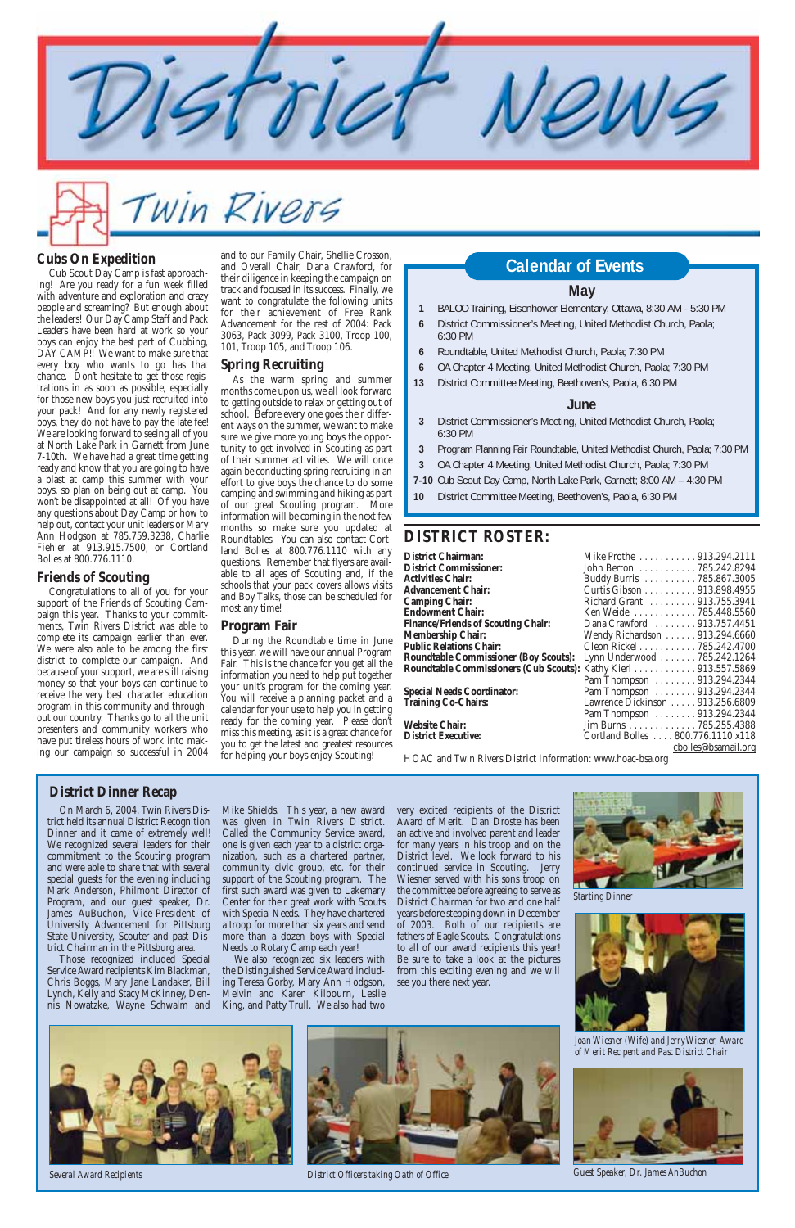# Win Rivers

#### **DISTRICT ROSTER:**

| District Chairman:                        | Mike Prothe  913.294.2111                                                                          |
|-------------------------------------------|----------------------------------------------------------------------------------------------------|
| <b>District Commissioner:</b>             | John Berton 785.242.8294                                                                           |
| <b>Activities Chair:</b>                  | Buddy Burris 785.867.3005                                                                          |
| <b>Advancement Chair:</b>                 | Curtis Gibson 913.898.4955                                                                         |
| Camping Chair:                            | Richard Grant  913.755.3941                                                                        |
| <b>Endowment Chair:</b>                   | Ken Weide 785.448.5560                                                                             |
| <b>Finance/Friends of Scouting Chair:</b> | Dana Crawford  913.757.4451                                                                        |
| Membership Chair:                         | Wendy Richardson 913.294.6660                                                                      |
| <b>Public Relations Chair:</b>            | Cleon Rickel 785.242.4700                                                                          |
|                                           | Roundtable Commissioner (Boy Scouts): Lynn Underwood 785.242.1264                                  |
|                                           | Roundtable Commissioners (Cub Scouts): Kathy Kierl 913.557.5869                                    |
|                                           | Pam Thompson 913.294.2344                                                                          |
|                                           | $D_{\text{max}}$ T <sub>1</sub> , $\ldots$ , $\ldots$ , $\ldots$ , $\ldots$ , 0.10, 0.0.4, 0.0.4.4 |

**District Commissioner:** John Berton . . . . . . . . . . . 785.242.8294 **Activities Chair:** Buddy Burris . . . . . . . . . . 785.867.3005 **bson** . . . . . . . . . . 913.898.4955 **Camping Chair:** Richard Grant . . . . . . . . . 913.755.3941 **Endowment Chair:** Ken Weide . . . . . . . . . . . . 785.448.5560 **Finance/Friends of Scouting Chair:** Dana Crawford . . . . . . . . 913.757.4451 **Membership Chair:** Wendy Richardson . . . . . . 913.294.6660 **Public Relations Chair:** Cleon Rickel . . . . . . . . . . . 785.242.4700 **Rerwood . . . . . . . . 785.242.1264 Roundtable Commission**<br>Ble Scott . . . . . . . . . . . . . 913.557.5869 mpson . . . . . . . . 913.294.2344 **Special Needs Coordinator:** Pam Thompson . . . . . . . . 913.294.2344 **Training Co-Chairs:** Lawrence Dickinson . . . . . 913.256.6809 Pam Thompson . . . . . . . . 913.294.2344 **Website Chair:** Jim Burns . . . . . . . . . . . . 785.255.4388 **District Executive:** Cortland Bolles . . . . 800.776.1110 x118 cbolles@bsamail.org HOAC and Twin Rivers District Information: www.hoac-bsa.org

and to our Family Chair, Shellie Crosson,<br>and Overall Chair, Dana Crawford, for **Calendar of Events** and Overall Chair, Dana Crawford, for their diligence in keeping the campaign on track and focused in its success. Finally, we want to congratulate the following units for their achievement of Free Rank Advancement for the rest of 2004: Pack 3063, Pack 3099, Pack 3100, Troop 100, 101, Troop 105, and Troop 106.

#### **May**

- **1** BALOO Training, Eisenhower Elementary, Ottawa, 8:30 AM 5:30 PM
- **6** District Commissioner's Meeting, United Methodist Church, Paola; 6:30 PM
- **6** Roundtable, United Methodist Church, Paola; 7:30 PM
- **6** OA Chapter 4 Meeting, United Methodist Church, Paola; 7:30 PM
- **13** District Committee Meeting, Beethoven's, Paola, 6:30 PM

#### **June**

- **3** District Commissioner's Meeting, United Methodist Church, Paola; 6:30 PM
- **3** Program Planning Fair Roundtable, United Methodist Church, Paola; 7:30 PM
- **3** OA Chapter 4 Meeting, United Methodist Church, Paola; 7:30 PM
- **7-10** Cub Scout Day Camp, North Lake Park, Garnett; 8:00 AM 4:30 PM
- **10** District Committee Meeting, Beethoven's, Paola, 6:30 PM

#### **Spring Recruiting**

As the warm spring and summer months come upon us, we all look forward to getting outside to relax or getting out of school. Before every one goes their different ways on the summer, we want to make sure we give more young boys the opportunity to get involved in Scouting as part of their summer activities. We will once again be conducting spring recruiting in an effort to give boys the chance to do some camping and swimming and hiking as part of our great Scouting program. More information will be coming in the next few months so make sure you updated at Roundtables. You can also contact Cortland Bolles at 800.776.1110 with any questions. Remember that flyers are available to all ages of Scouting and, if the schools that your pack covers allows visits and Boy Talks, those can be scheduled for most any time!

#### **Program Fair**

During the Roundtable time in June this year, we will have our annual Program Fair. This is the chance for you get all the information you need to help put together your unit's program for the coming year. You will receive a planning packet and a calendar for your use to help you in getting ready for the coming year. Please don't miss this meeting, as it is a great chance for you to get the latest and greatest resources for helping your boys enjoy Scouting!

#### **Cubs On Expedition**

Cub Scout Day Camp is fast approaching! Are you ready for a fun week filled with adventure and exploration and crazy people and screaming? But enough about the leaders! Our Day Camp Staff and Pack Leaders have been hard at work so your boys can enjoy the best part of Cubbing, DAY CAMP!! We want to make sure that every boy who wants to go has that chance. Don't hesitate to get those registrations in as soon as possible, especially for those new boys you just recruited into your pack! And for any newly registered boys, they do not have to pay the late fee! We are looking forward to seeing all of you at North Lake Park in Garnett from June 7-10th. We have had a great time getting ready and know that you are going to have a blast at camp this summer with your boys, so plan on being out at camp. You won't be disappointed at all! Of you have any questions about Day Camp or how to help out, contact your unit leaders or Mary Ann Hodgson at 785.759.3238, Charlie Fiehler at 913.915.7500, or Cortland Bolles at 800.776.1110.

#### **Friends of Scouting**

Congratulations to all of you for your support of the Friends of Scouting Campaign this year. Thanks to your commitments, Twin Rivers District was able to complete its campaign earlier than ever. We were also able to be among the first district to complete our campaign. And because of your support, we are still raising money so that your boys can continue to receive the very best character education program in this community and throughout our country. Thanks go to all the unit presenters and community workers who have put tireless hours of work into making our campaign so successful in 2004

On March 6, 2004, Twin Rivers District held its annual District Recognition Dinner and it came of extremely well! We recognized several leaders for their commitment to the Scouting program and were able to share that with several special guests for the evening including Mark Anderson, Philmont Director of Program, and our guest speaker, Dr. James AuBuchon, Vice-President of University Advancement for Pittsburg State University, Scouter and past District Chairman in the Pittsburg area. Those recognized included Special Service Award recipients Kim Blackman, Chris Boggs, Mary Jane Landaker, Bill Lynch, Kelly and Stacy McKinney, Dennis Nowatzke, Wayne Schwalm and

Mike Shields. This year, a new award was given in Twin Rivers District. Called the Community Service award, one is given each year to a district organization, such as a chartered partner, community civic group, etc. for their support of the Scouting program. The first such award was given to Lakemary Center for their great work with Scouts with Special Needs. They have chartered a troop for more than six years and send more than a dozen boys with Special Needs to Rotary Camp each year! We also recognized six leaders with the Distinguished Service Award including Teresa Gorby, Mary Ann Hodgson, Melvin and Karen Kilbourn, Leslie King, and Patty Trull. We also had two

very excited recipients of the District Award of Merit. Dan Droste has been an active and involved parent and leader for many years in his troop and on the District level. We look forward to his continued service in Scouting. Jerry Wiesner served with his sons troop on the committee before agreeing to serve as District Chairman for two and one half

years before stepping down in December of 2003. Both of our recipients are fathers of Eagle Scouts. Congratulations to all of our award recipients this year! Be sure to take a look at the pictures from this exciting evening and we will see you there next year.

#### **District Dinner Recap**



*Starting Dinner*



*Several Award Recipients District Officers taking Oath of Office Guest Speaker, Dr. James AnBuchon*



*Joan Wiesner (Wife) and Jerry Wiesner, Award of Merit Recipent and Past District Chair*



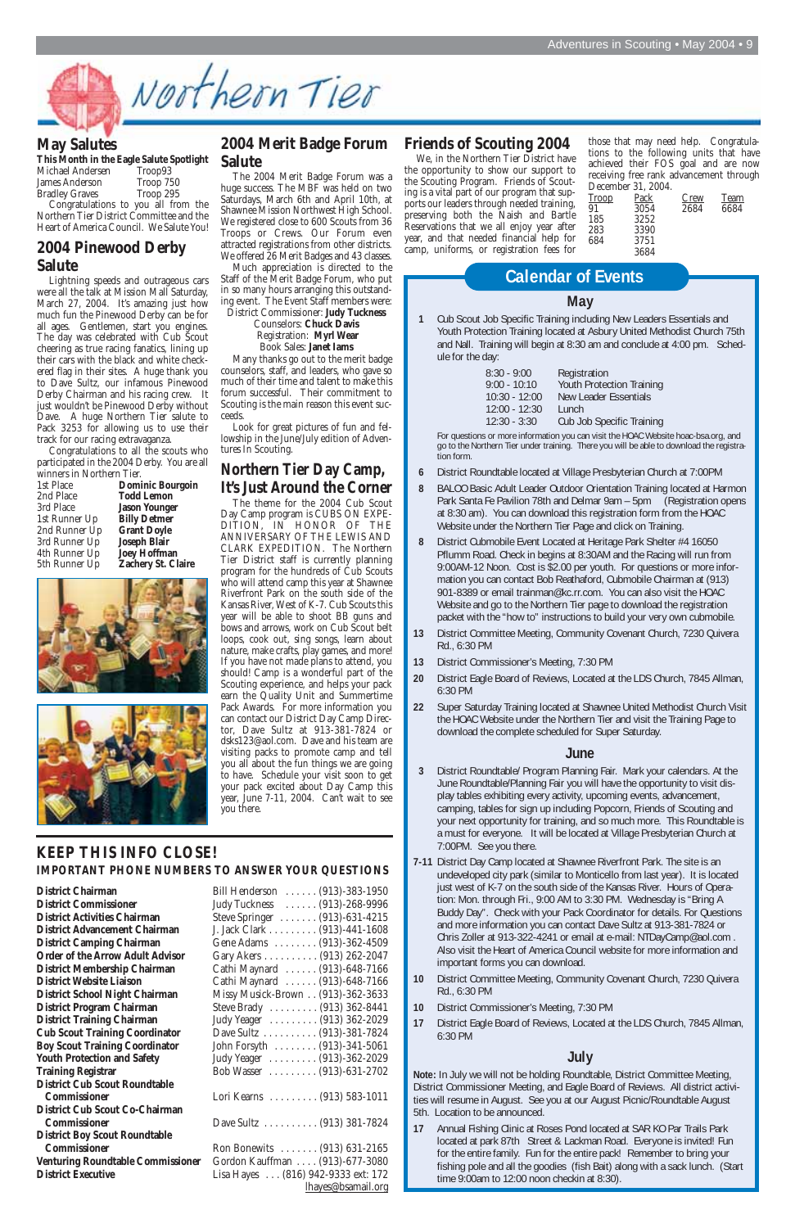

#### **May Salutes**

|                           | This Month in the Eagle Salute Spotlight |
|---------------------------|------------------------------------------|
| Michael Andersen          | Troop <sub>93</sub>                      |
| James Anderson            | Troop 750                                |
| $\mathbf{D}$ $\mathbf{E}$ | $\Omega$                                 |

Bradley Graves Troop 295 Congratulations to you all from the Northern Tier District Committee and the Heart of America Council. We Salute You!

#### **2004 Pinewood Derby Salute**

Lightning speeds and outrageous cars were all the talk at Mission Mall Saturday, March 27, 2004. It's amazing just how much fun the Pinewood Derby can be for all ages. Gentlemen, start you engines. The day was celebrated with Cub Scout cheering as true racing fanatics, lining up their cars with the black and white checkered flag in their sites. A huge thank you to Dave Sultz, our infamous Pinewood Derby Chairman and his racing crew. It just wouldn't be Pinewood Derby without Dave. A huge Northern Tier salute to Pack 3253 for allowing us to use their track for our racing extravaganza.

Congratulations to all the scouts who participated in the 2004 Derby. You are all winners in Northern Tier.

| Dom          |
|--------------|
| <b>Todd</b>  |
| <b>Jason</b> |
| <b>Billy</b> |
| Gran         |
| <b>Josep</b> |
| Joey 1       |
| Zacho        |
|              |







#### **2004 Merit Badge Forum Salute**

The 2004 Merit Badge Forum was a huge success. The MBF was held on two Saturdays, March 6th and April 10th, at Shawnee Mission Northwest High School. We registered close to 600 Scouts from 36 Troops or Crews. Our Forum even attracted registrations from other districts. We offered 26 Merit Badges and 43 classes.

Much appreciation is directed to the Staff of the Merit Badge Forum, who put in so many hours arranging this outstanding event. The Event Staff members were: District Commissioner: **Judy Tuckness**

Counselors: **Chuck Davis** Registration: **Myrl Wear**  Book Sales: **Janet Iams**

Many thanks go out to the merit badge counselors, staff, and leaders, who gave so much of their time and talent to make this forum successful. Their commitment to Scouting is the main reason this event succeeds.

Look for great pictures of fun and fellowship in the June/July edition of Adventures In Scouting.

#### **Northern Tier Day Camp, It's Just Around the Corner**

The theme for the 2004 Cub Scout Day Camp program is CUBS ON EXPE-DITION, IN HONOR OF THE ANNIVERSARY OF THE LEWIS AND CLARK EXPEDITION. The Northern Tier District staff is currently planning program for the hundreds of Cub Scouts who will attend camp this year at Shawnee Riverfront Park on the south side of the Kansas River, West of K-7. Cub Scouts this year will be able to shoot BB guns and bows and arrows, work on Cub Scout belt loops, cook out, sing songs, learn about nature, make crafts, play games, and more! If you have not made plans to attend, you should! Camp is a wonderful part of the Scouting experience, and helps your pack earn the Quality Unit and Summertime Pack Awards. For more information you can contact our District Day Camp Director, Dave Sultz at 913-381-7824 or dsks123@aol.com. Dave and his team are visiting packs to promote camp and tell you all about the fun things we are going to have. Schedule your visit soon to get your pack excited about Day Camp this year, June 7-11, 2004. Can't wait to see you there.

#### **KEEP THIS INFO CLOSE! IMPORTANT PHONE NUMBERS TO ANSWER YOUR QUESTIONS**

**District Commissioner** . . . . . . . . Judy Tuckness **District Activities Chairman District Advancement Chairman District Camping Chairman Order of the Arrow Adult Advisor District Membership Chairman District Website Liaison District School Night Chairman District Program Chairman District Training Chairman Cub Scout Training Coordinator Boy Scout Training Coordinator Youth Protection and Safety Training Registrar District Cub Scout Roundtable Commissioner District Cub Scout Co-Chairman Commissioner District Boy Scout Roundtable Commissioner Venturing Roundtable Commissioner District Executive** 

**District Chairman** Bill Henderson . . . . . . (913)-383-1950

#### **Friends of Scouting 2004**

We, in the Northern Tier District have the opportunity to show our support to the Scouting Program. Friends of Scouting is a vital part of our program that supports our leaders through needed training, preserving both the Naish and Bartle Reservations that we all enjoy year after year, and that needed financial help for camp, uniforms, or registration fees for

#### **May**

**1** Cub Scout Job Specific Training including New Leaders Essentials and Youth Protection Training located at Asbury United Methodist Church 75th and Nall. Training will begin at 8:30 am and conclude at 4:00 pm. Schedule for the day:

| $8:30 - 9:00$   | Registration                     |
|-----------------|----------------------------------|
| $9:00 - 10:10$  | <b>Youth Protection Training</b> |
| $10:30 - 12:00$ | <b>New Leader Essentials</b>     |
| $12:00 - 12:30$ | Lunch                            |
| $12:30 - 3:30$  | Cub Job Specific Training        |

For questions or more information you can visit the HOAC Website hoac-bsa.org, and go to the Northern Tier under training. There you will be able to download the registration form.

- **6** District Roundtable located at Village Presbyterian Church at 7:00PM
- **8** BALOO Basic Adult Leader Outdoor Orientation Training located at Harmon Park Santa Fe Pavilion 78th and Delmar 9am – 5pm (Registration opens at 8:30 am). You can download this registration form from the HOAC Website under the Northern Tier Page and click on Training.
- **8** District Cubmobile Event Located at Heritage Park Shelter #4 16050 Pflumm Road. Check in begins at 8:30AM and the Racing will run from 9:00AM-12 Noon. Cost is \$2.00 per youth. For questions or more information you can contact Bob Reathaford, Cubmobile Chairman at (913) 901-8389 or email trainman@kc.rr.com. You can also visit the HOAC Website and go to the Northern Tier page to download the registration packet with the "how to" instructions to build your very own cubmobile.
- **13** District Committee Meeting, Community Covenant Church, 7230 Quivera Rd., 6:30 PM
- **13** District Commissioner's Meeting, 7:30 PM
- **20** District Eagle Board of Reviews, Located at the LDS Church, 7845 Allman, 6:30 PM
- **22** Super Saturday Training located at Shawnee United Methodist Church Visit the HOAC Website under the Northern Tier and visit the Training Page to download the complete scheduled for Super Saturday.

#### **June**

- **3** District Roundtable/ Program Planning Fair. Mark your calendars. At the June Roundtable/Planning Fair you will have the opportunity to visit display tables exhibiting every activity, upcoming events, advancement, camping, tables for sign up including Popcorn, Friends of Scouting and your next opportunity for training, and so much more. This Roundtable is a must for everyone. It will be located at Village Presbyterian Church at 7:00PM. See you there.
- **7-11** District Day Camp located at Shawnee Riverfront Park. The site is an undeveloped city park (similar to Monticello from last year). It is located just west of K-7 on the south side of the Kansas River. Hours of Operation: Mon. through Fri., 9:00 AM to 3:30 PM. Wednesday is "Bring A Buddy Day". Check with your Pack Coordinator for details. For Questions and more information you can contact Dave Sultz at 913-381-7824 or Chris Zoller at 913-322-4241 or email at e-mail: NTDayCamp@aol.com . Also visit the Heart of America Council website for more information and important forms you can download.

- **10** District Committee Meeting, Community Covenant Church, 7230 Quivera Rd., 6:30 PM
- **10** District Commissioner's Meeting, 7:30 PM
- **17** District Eagle Board of Reviews, Located at the LDS Church, 7845 Allman, 6:30 PM

#### **July**

**Note:** In July we will not be holding Roundtable, District Committee Meeting, District Commissioner Meeting, and Eagle Board of Reviews. All district activities will resume in August. See you at our August Picnic/Roundtable August 5th. Location to be announced.

**17** Annual Fishing Clinic at Roses Pond located at SAR KO Par Trails Park located at park 87th Street & Lackman Road. Everyone is invited! Fun for the entire family. Fun for the entire pack! Remember to bring your fishing pole and all the goodies (fish Bait) along with a sack lunch. (Start time 9:00am to 12:00 noon checkin at 8:30).

## **Calendar of Events**

those that may need help. Congratulations to the following units that have achieved their FOS goal and are now receiving free rank advancement through December 31, 2004.

| <b>Troop</b> | Pack | Crew | Team |
|--------------|------|------|------|
| 91           | 3054 | 2684 | 6684 |
| 185          | 3252 |      |      |
| 283          | 3390 |      |      |
| 684          | 3751 |      |      |
|              | 3684 |      |      |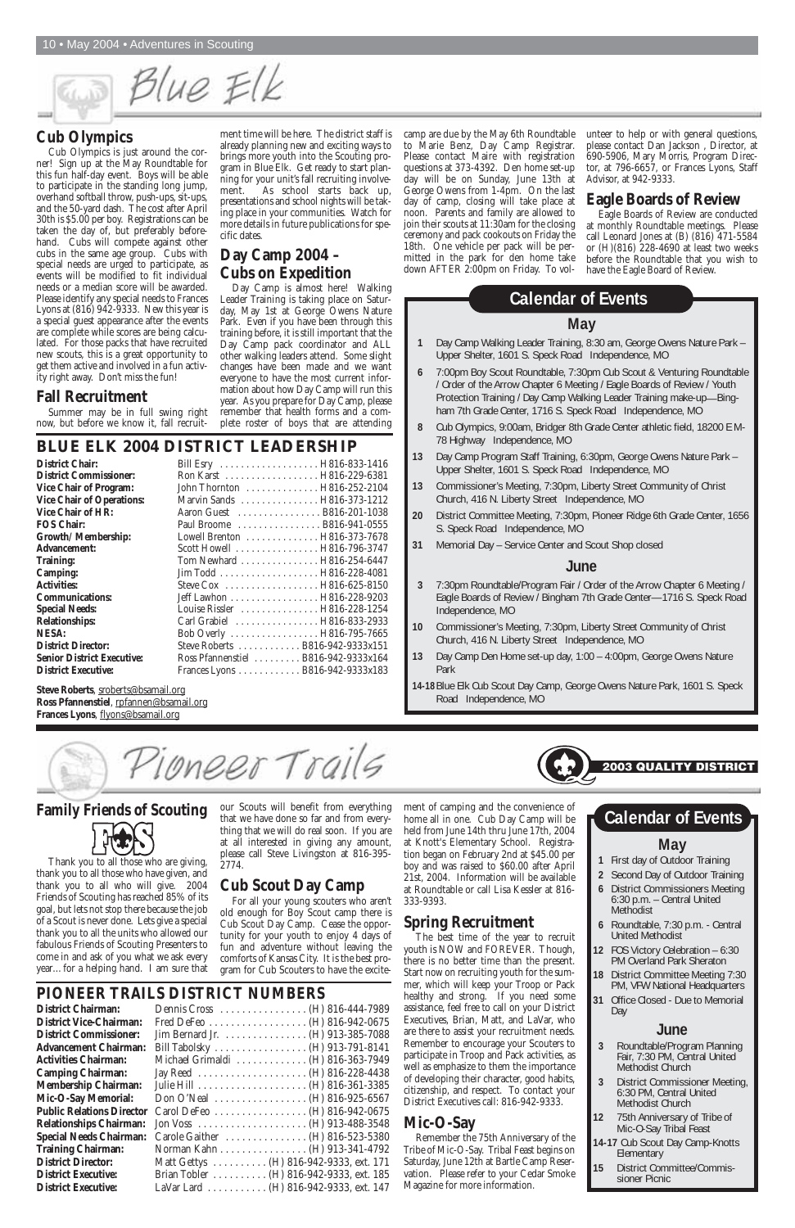Blue Elk

#### **Family Friends of Scouting**



Thank you to all those who are giving, thank you to all those who have given, and thank you to all who will give. 2004 Friends of Scouting has reached 85% of its goal, but lets not stop there because the job of a Scout is never done. Lets give a special thank you to all the units who allowed our fabulous Friends of Scouting Presenters to come in and ask of you what we ask every year…for a helping hand. I am sure that ment of camping and the convenience of home all in one. Cub Day Camp will be held from June 14th thru June 17th, 2004 at Knott's Elementary School. Registration began on February 2nd at \$45.00 per boy and was raised to \$60.00 after April 21st, 2004. Information will be available at Roundtable or call Lisa Kessler at 816- 333-9393.

The best time of the year to recruit youth is NOW and FOREVER. Though, there is no better time than the present. Start now on recruiting youth for the summer, which will keep your Troop or Pack healthy and strong. If you need some assistance, feel free to call on your District Executives, Brian, Matt, and LaVar, who are there to assist your recruitment needs. Remember to encourage your Scouters to participate in Troop and Pack activities, as well as emphasize to them the importance of developing their character, good habits, citizenship, and respect. To contact your District Executives call: 816-942-9333.

### **Spring Recruitment**

## **Mic-O-Say**

Remember the 75th Anniversary of the Tribe of Mic-O-Say. Tribal Feast begins on Saturday, June 12th at Bartle Camp Reservation. Please refer to your Cedar Smoke Magazine for more information.

our Scouts will benefit from everything that we have done so far and from everything that we will do real soon. If you are at all interested in giving any amount, please call Steve Livingston at 816-395- 2774.

### **Cub Scout Day Camp**

For all your young scouters who aren't old enough for Boy Scout camp there is Cub Scout Day Camp. Cease the opportunity for your youth to enjoy 4 days of fun and adventure without leaving the comforts of Kansas City. It is the best program for Cub Scouters to have the excite-

#### **Cub Olympics**

Cub Olympics is just around the corner! Sign up at the May Roundtable for this fun half-day event. Boys will be able to participate in the standing long jump, overhand softball throw, push-ups, sit-ups, and the 50-yard dash. The cost after April 30th is \$5.00 per boy. Registrations can be taken the day of, but preferably beforehand. Cubs will compete against other cubs in the same age group. Cubs with special needs are urged to participate, as events will be modified to fit individual needs or a median score will be awarded. Please identify any special needs to Frances Lyons at (816) 942-9333. New this year is a special guest appearance after the events are complete while scores are being calculated. For those packs that have recruited new scouts, this is a great opportunity to get them active and involved in a fun activity right away. Don't miss the fun!

#### **Fall Recruitment**

Summer may be in full swing right now, but before we know it, fall recruit-

### **BLUE ELK 2004 DISTRICT LEADERSHIP**

| <b>District Chair:</b>            | Bill Esry  H816-833-1416             |
|-----------------------------------|--------------------------------------|
| <b>District Commissioner:</b>     | Ron Karst H816-229-6381              |
| <b>Vice Chair of Program:</b>     | John Thornton H816-252-2104          |
| <b>Vice Chair of Operations:</b>  | Marvin Sands  H816-373-1212          |
| <b>Vice Chair of HR:</b>          | Aaron Guest B816-201-1038            |
| <b>FOS Chair:</b>                 | Paul Broome  B816-941-0555           |
| Growth/ Membership:               | Lowell Brenton  H816-373-7678        |
| <b>Advancement:</b>               | Scott Howell  H816-796-3747          |
| <b>Training:</b>                  | Tom Newhard  H816-254-6447           |
| <b>Camping:</b>                   |                                      |
| <b>Activities:</b>                |                                      |
| <b>Communications:</b>            | Jeff Lawhon H816-228-9203            |
| <b>Special Needs:</b>             | Louise Rissler  H816-228-1254        |
| <b>Relationships:</b>             | Carl Grabiel  H816-833-2933          |
| <b>NESA:</b>                      |                                      |
| <b>District Director:</b>         | Steve Roberts  B816-942-9333x151     |
| <b>Senior District Executive:</b> | Ross Pfannenstiel  B816-942-9333x164 |
| <b>District Executive:</b>        | Frances Lyons B816-942-9333x183      |

**Steve Roberts**, sroberts@bsamail.org Ross Pfannenstiel, rpfannen@bsamail.org **Frances Lyons**, flyons@bsamail.org

camp are due by the May 6th Roundtable to Marie Benz, Day Camp Registrar. Please contact Maire with registration questions at 373-4392. Den home set-up day will be on Sunday, June 13th at George Owens from 1-4pm. On the last day of camp, closing will take place at noon. Parents and family are allowed to join their scouts at 11:30am for the closing ceremony and pack cookouts on Friday the 18th. One vehicle per pack will be permitted in the park for den home take down AFTER 2:00pm on Friday. To volunteer to help or with general questions, please contact Dan Jackson , Director, at 690-5906, Mary Morris, Program Director, at 796-6657, or Frances Lyons, Staff Advisor, at 942-9333.

#### **Eagle Boards of Review**

Eagle Boards of Review are conducted at monthly Roundtable meetings. Please call Leonard Jones at (B) (816) 471-5584 or (H)(816) 228-4690 at least two weeks before the Roundtable that you wish to have the Eagle Board of Review.

ment time will be here. The district staff is already planning new and exciting ways to brings more youth into the Scouting program in Blue Elk. Get ready to start planning for your unit's fall recruiting involvement. As school starts back up, presentations and school nights will be taking place in your communities. Watch for more details in future publications for specific dates.

#### **Day Camp 2004 – Cubs on Expedition**

Day Camp is almost here! Walking Leader Training is taking place on Saturday, May 1st at George Owens Nature Park. Even if you have been through this training before, it is still important that the Day Camp pack coordinator and ALL other walking leaders attend. Some slight changes have been made and we want everyone to have the most current information about how Day Camp will run this year. As you prepare for Day Camp, please remember that health forms and a complete roster of boys that are attending

## **PIONEER TRAILS DISTRICT NUMBERS**

**District Chairman: District Vice-Chairman: District Commissioner: Advancement Chairman: Activities Chairman: Camping Chairman: Membership Chairman: Mic-O-Say Memorial: Public Relations Director Relationships Chairman: Special Needs Chairman: Training Chairman: District Director: District Executive: District Executive:** 

| Dennis Cross  (H) 816-444-7989          |  |
|-----------------------------------------|--|
|                                         |  |
| Jim Bernard Jr. (H) 913-385-7088        |  |
| Bill Tabolsky (H) 913-791-8141          |  |
| Michael Grimaldi (H) 816-363-7949       |  |
|                                         |  |
|                                         |  |
| Don O'Neal (H) 816-925-6567             |  |
| Carol DeFeo (H) 816-942-0675            |  |
|                                         |  |
| Carole Gaither  (H) 816-523-5380        |  |
| Norman Kahn (H) 913-341-4792            |  |
| Matt Gettys (H) 816-942-9333, ext. 171  |  |
| Brian Tobler (H) 816-942-9333, ext. 185 |  |
| LaVar Lard (H) 816-942-9333, ext. 147   |  |
|                                         |  |

- **2** Second Day of Outdoor Training
- **6** District Commissioners Meeting 6:30 p.m. – Central United

- Methodist
- **6** Roundtable, 7:30 p.m. Central United Methodist
- **12** FOS Victory Celebration 6:30 PM Overland Park Sheraton
- **18** District Committee Meeting 7:30 PM, VFW National Headquarters
- **31** Office Closed Due to Memorial Day



#### **June**

- **3** Roundtable/Program Planning Fair, 7:30 PM, Central United Methodist Church
- **3** District Commissioner Meeting, 6:30 PM, Central United Methodist Church
- **12** 75th Anniversary of Tribe of Mic-O-Say Tribal Feast
- **14-17** Cub Scout Day Camp-Knotts **Elementary**
- **15** District Committee/Commissioner Picnic

#### **May**

- **1** Day Camp Walking Leader Training, 8:30 am, George Owens Nature Park Upper Shelter, 1601 S. Speck Road Independence, MO
- **6** 7:00pm Boy Scout Roundtable, 7:30pm Cub Scout & Venturing Roundtable / Order of the Arrow Chapter 6 Meeting / Eagle Boards of Review / Youth Protection Training / Day Camp Walking Leader Training make-up—Bingham 7th Grade Center, 1716 S. Speck Road Independence, MO
- **8** Cub Olympics, 9:00am, Bridger 8th Grade Center athletic field, 18200 E M-78 Highway Independence, MO
- **13** Day Camp Program Staff Training, 6:30pm, George Owens Nature Park Upper Shelter, 1601 S. Speck Road Independence, MO
- **13** Commissioner's Meeting, 7:30pm, Liberty Street Community of Christ Church, 416 N. Liberty Street Independence, MO
- **20** District Committee Meeting, 7:30pm, Pioneer Ridge 6th Grade Center, 1656 S. Speck Road Independence, MO
- **31** Memorial Day Service Center and Scout Shop closed

#### **June**

- **3** 7:30pm Roundtable/Program Fair / Order of the Arrow Chapter 6 Meeting / Eagle Boards of Review / Bingham 7th Grade Center—1716 S. Speck Road Independence, MO
- **10** Commissioner's Meeting, 7:30pm, Liberty Street Community of Christ Church, 416 N. Liberty Street Independence, MO
- **13** Day Camp Den Home set-up day, 1:00 4:00pm, George Owens Nature Park
- **14-18**Blue Elk Cub Scout Day Camp, George Owens Nature Park, 1601 S. Speck Road Independence, MO

ioneer Trails

#### **Calendar of Events**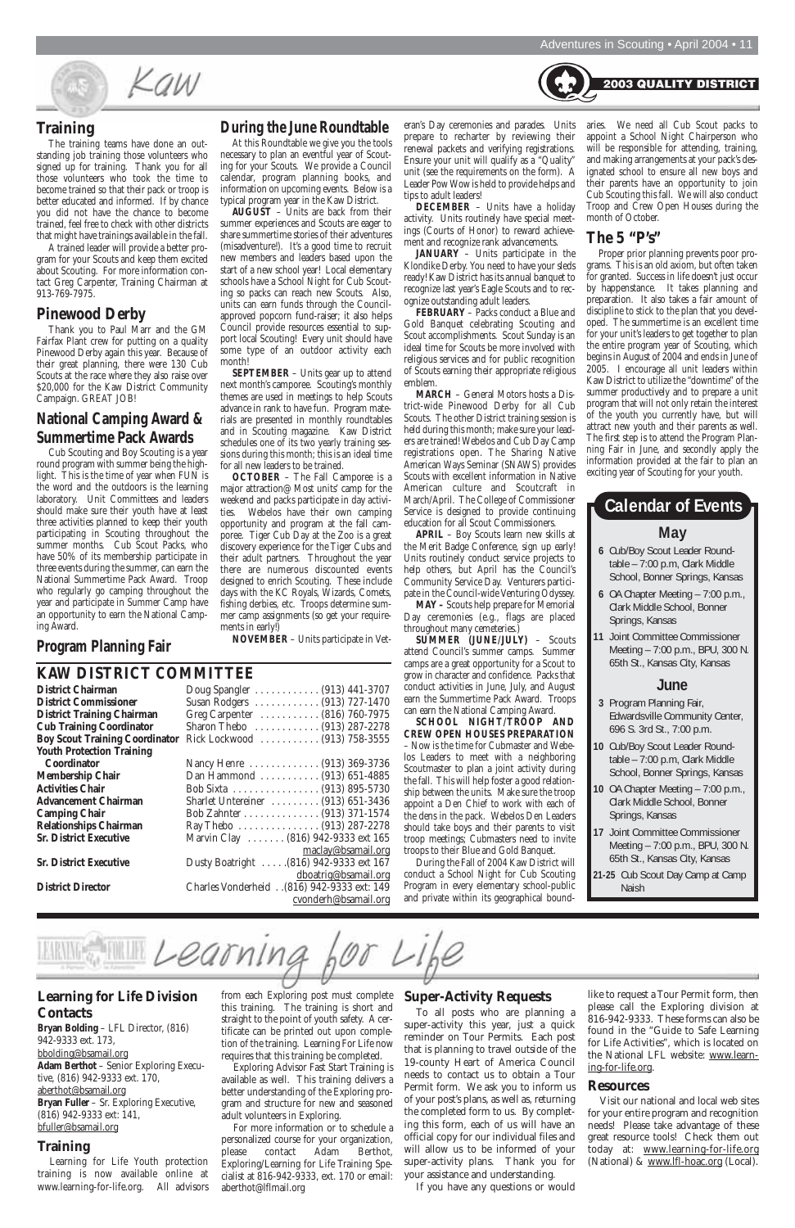Kaw

#### **Training**

The training teams have done an outstanding job training those volunteers who signed up for training. Thank you for all those volunteers who took the time to become trained so that their pack or troop is better educated and informed. If by chance you did not have the chance to become trained, feel free to check with other districts that might have trainings available in the fall.

A trained leader will provide a better program for your Scouts and keep them excited about Scouting. For more information contact Greg Carpenter, Training Chairman at 913-769-7975.

#### **Pinewood Derby**

Thank you to Paul Marr and the GM Fairfax Plant crew for putting on a quality Pinewood Derby again this year. Because of their great planning, there were 130 Cub Scouts at the race where they also raise over \$20,000 for the Kaw District Community Campaign. GREAT JOB!

#### **National Camping Award & Summertime Pack Awards**

Cub Scouting and Boy Scouting is a year round program with summer being the highlight. This is the time of year when FUN is the word and the outdoors is the learning laboratory. Unit Committees and leaders should make sure their youth have at least three activities planned to keep their youth participating in Scouting throughout the summer months. Cub Scout Packs, who have 50% of its membership participate in three events during the summer, can earn the National Summertime Pack Award. Troop who regularly go camping throughout the year and participate in Summer Camp have an opportunity to earn the National Camping Award.

**Program Planning Fair** 

eran's Day ceremonies and parades. Units prepare to recharter by reviewing their renewal packets and verifying registrations. Ensure your unit will qualify as a "Quality" unit (see the requirements on the form). A Leader Pow Wow is held to provide helps and tips to adult leaders!

**DECEMBER** – Units have a holiday activity. Units routinely have special meetings (Courts of Honor) to reward achievement and recognize rank advancements.

**JANUARY** – Units participate in the Klondike Derby. You need to have your sleds ready! Kaw District has its annual banquet to recognize last year's Eagle Scouts and to recognize outstanding adult leaders.

**FEBRUARY** – Packs conduct a Blue and Gold Banquet celebrating Scouting and Scout accomplishments. Scout Sunday is an ideal time for Scouts be more involved with religious services and for public recognition of Scouts earning their appropriate religious emblem.

**MARCH** – General Motors hosts a District-wide Pinewood Derby for all Cub Scouts. The other District training session is held during this month; make sure your leaders are trained! Webelos and Cub Day Camp registrations open. The Sharing Native American Ways Seminar (SNAWS) provides Scouts with excellent information in Native American culture and Scoutcraft in March/April. The College of Commissioner Service is designed to provide continuing education for all Scout Commissioners.

**APRIL** – Boy Scouts learn new skills at the Merit Badge Conference, sign up early! Units routinely conduct service projects to help others, but April has the Council's Community Service Day. Venturers participate in the Council-wide Venturing Odyssey.

**MAY –** Scouts help prepare for Memorial Day ceremonies (e.g., flags are placed throughout many cemeteries.)

**SUMMER (JUNE/JULY)** – Scouts attend Council's summer camps. Summer camps are a great opportunity for a Scout to grow in character and confidence. Packs that conduct activities in June, July, and August earn the Summertime Pack Award. Troops can earn the National Camping Award.

**SCHOOL NIGHT/TROOP AND CREW OPEN HOUSES PREPARATION** – Now is the time for Cubmaster and Webelos Leaders to meet with a neighboring Scoutmaster to plan a joint activity during the fall. This will help foster a good relationship between the units. Make sure the troop appoint a Den Chief to work with each of the dens in the pack. Webelos Den Leaders should take boys and their parents to visit troop meetings; Cubmasters need to invite troops to their Blue and Gold Banquet.

During the Fall of 2004 Kaw District will conduct a School Night for Cub Scouting Program in every elementary school-public and private within its geographical bound-

#### **During the June Roundtable**

At this Roundtable we give you the tools necessary to plan an eventful year of Scouting for your Scouts. We provide a Council calendar, program planning books, and information on upcoming events. Below is a typical program year in the Kaw District.

**AUGUST** – Units are back from their summer experiences and Scouts are eager to share summertime stories of their adventures (misadventure!). It's a good time to recruit new members and leaders based upon the start of a new school year! Local elementary schools have a School Night for Cub Scouting so packs can reach new Scouts. Also, units can earn funds through the Councilapproved popcorn fund-raiser; it also helps Council provide resources essential to support local Scouting! Every unit should have some type of an outdoor activity each month!

**SEPTEMBER** – Units gear up to attend next month's camporee. Scouting's monthly themes are used in meetings to help Scouts advance in rank to have fun. Program materials are presented in monthly roundtables and in Scouting magazine. Kaw District schedules one of its two yearly training sessions during this month; this is an ideal time for all new leaders to be trained.

**OCTOBER** – The Fall Camporee is a major attraction@ Most units' camp for the weekend and packs participate in day activities. Webelos have their own camping opportunity and program at the fall camporee. Tiger Cub Day at the Zoo is a great discovery experience for the Tiger Cubs and their adult partners. Throughout the year there are numerous discounted events designed to enrich Scouting. These include days with the KC Royals, Wizards, Comets, fishing derbies, etc. Troops determine summer camp assignments (so get your requirements in early!)

**NOVEMBER** – Units participate in Vet-

#### **KAW DISTRICT COMMITTEE**

| District Chairman                    |
|--------------------------------------|
| <b>District Commissioner</b>         |
| <b>District Training Chairman</b>    |
| <b>Cub Training Coordinator</b>      |
| <b>Boy Scout Training Coordinato</b> |
| <b>Youth Protection Training</b>     |
| Coordinator                          |
| Membership Chair                     |
| <b>Activities Chair</b>              |
| <b>Advancement Chairman</b>          |
| <b>Camping Chair</b>                 |
| <b>Relationships Chairman</b>        |
| <b>Sr. District Executive</b>        |
|                                      |
|                                      |

**District Chairman** Doug Spangler . . . . . . . . . . . . (913) 441-3707 **District Commissioner** Susan Rodgers . . . . . . . . . . . . (913) 727-1470 **District Training Chairman** Greg Carpenter . . . . . . . . . . . (816) 760-7975 **Cub Training Coordinator** Sharon Thebo . . . . . . . . . . . . (913) 287-2278 **Boy Scout Training Coordinator** Rick Lockwood . . . . . . . . . . . (913) 758-3555 **Coordinator** Nancy Henre . . . . . . . . . . . . . (913) 369-3736 Dan Hammond . . . . . . . . . . . . (913) 651-4885 **Activities Chair** Bob Sixta . . . . . . . . . . . . . . . . (913) 895-5730 **Advancement Chairman** Sharlet Untereiner . . . . . . . . . (913) 651-3436 **Camping Chair** Bob Zahnter . . . . . . . . . . . . . . (913) 371-1574 Ray Thebo . . . . . . . . . . . . . . . . (913) 287-2278 Marvin Clay . . . . . . . (816) 942-9333 ext 165 maclay@bsamail.org **Sr. District Executive** Dusty Boatright . . . . .(816) 942-9333 ext 167 dboatrig@bsamail.org

**District Director** Charles Vonderheid . .(816) 942-9333 ext: 149 cvonderh@bsamail.org

- **6** Cub/Boy Scout Leader Roundtable – 7:00 p.m, Clark Middle School, Bonner Springs, Kansas
- **6** OA Chapter Meeting 7:00 p.m., Clark Middle School, Bonner Springs, Kansas
- **11** Joint Committee Commissioner Meeting – 7:00 p.m., BPU, 300 N. 65th St., Kansas City, Kansas

#### **June**

## **May Calendar of Events**

- **3** Program Planning Fair, Edwardsville Community Center, 696 S. 3rd St., 7:00 p.m.
- **10** Cub/Boy Scout Leader Roundtable – 7:00 p.m, Clark Middle School, Bonner Springs, Kansas
- **10** OA Chapter Meeting 7:00 p.m., Clark Middle School, Bonner Springs, Kansas
- **17** Joint Committee Commissioner Meeting – 7:00 p.m., BPU, 300 N. 65th St., Kansas City, Kansas
- **21-25** Cub Scout Day Camp at Camp Naish

aries. We need all Cub Scout packs to appoint a School Night Chairperson who will be responsible for attending, training, and making arrangements at your pack's designated school to ensure all new boys and their parents have an opportunity to join Cub Scouting this fall. We will also conduct Troop and Crew Open Houses during the month of October.

**2003 QUALITY DISTRICT** 

#### **The 5 "P's"**

Proper prior planning prevents poor programs. This is an old axiom, but often taken for granted. Success in life doesn't just occur by happenstance. It takes planning and preparation. It also takes a fair amount of discipline to stick to the plan that you developed. The summertime is an excellent time for your unit's leaders to get together to plan the entire program year of Scouting, which begins in August of 2004 and ends in June of 2005. I encourage all unit leaders within Kaw District to utilize the "downtime" of the summer productively and to prepare a unit program that will not only retain the interest of the youth you currently have, but will attract new youth and their parents as well. The first step is to attend the Program Planning Fair in June, and secondly apply the information provided at the fair to plan an exciting year of Scouting for your youth.

from each Exploring post must complete this training. The training is short and straight to the point of youth safety. A certificate can be printed out upon completion of the training. Learning For Life now requires that this training be completed.

Learning

Exploring Advisor Fast Start Training is available as well. This training delivers a better understanding of the Exploring program and structure for new and seasoned adult volunteers in Exploring.

For more information or to schedule a personalized course for your organization, please contact Adam Berthot, Exploring/Learning for Life Training Specialist at 816-942-9333, ext. 170 or email: aberthot@lflmail.org

#### **Super-Activity Requests**

To all posts who are planning a super-activity this year, just a quick reminder on Tour Permits. Each post that is planning to travel outside of the 19-county Heart of America Council needs to contact us to obtain a Tour Permit form. We ask you to inform us of your post's plans, as well as, returning the completed form to us. By completing this form, each of us will have an official copy for our individual files and will allow us to be informed of your super-activity plans. Thank you for your assistance and understanding.

If you have any questions or would

like to request a Tour Permit form, then please call the Exploring division at 816-942-9333. These forms can also be found in the "Guide to Safe Learning for Life Activities", which is located on the National LFL website: www.learning-for-life.org.

#### **Resources**

Visit our national and local web sites for your entire program and recognition needs! Please take advantage of these great resource tools! Check them out today at: www.learning-for-life.org (National) & www.lfl-hoac.org (Local).

#### **Learning for Life Division Contacts**

**Bryan Bolding** – LFL Director, (816) 942-9333 ext. 173, bbolding@bsamail.org **Adam Berthot** – Senior Exploring Executive, (816) 942-9333 ext. 170, aberthot@bsamail.org **Bryan Fuller** – Sr. Exploring Executive, (816) 942-9333 ext: 141, bfuller@bsamail.org

#### **Training**

Learning for Life Youth protection training is now available online at www.learning-for-life.org. All advisors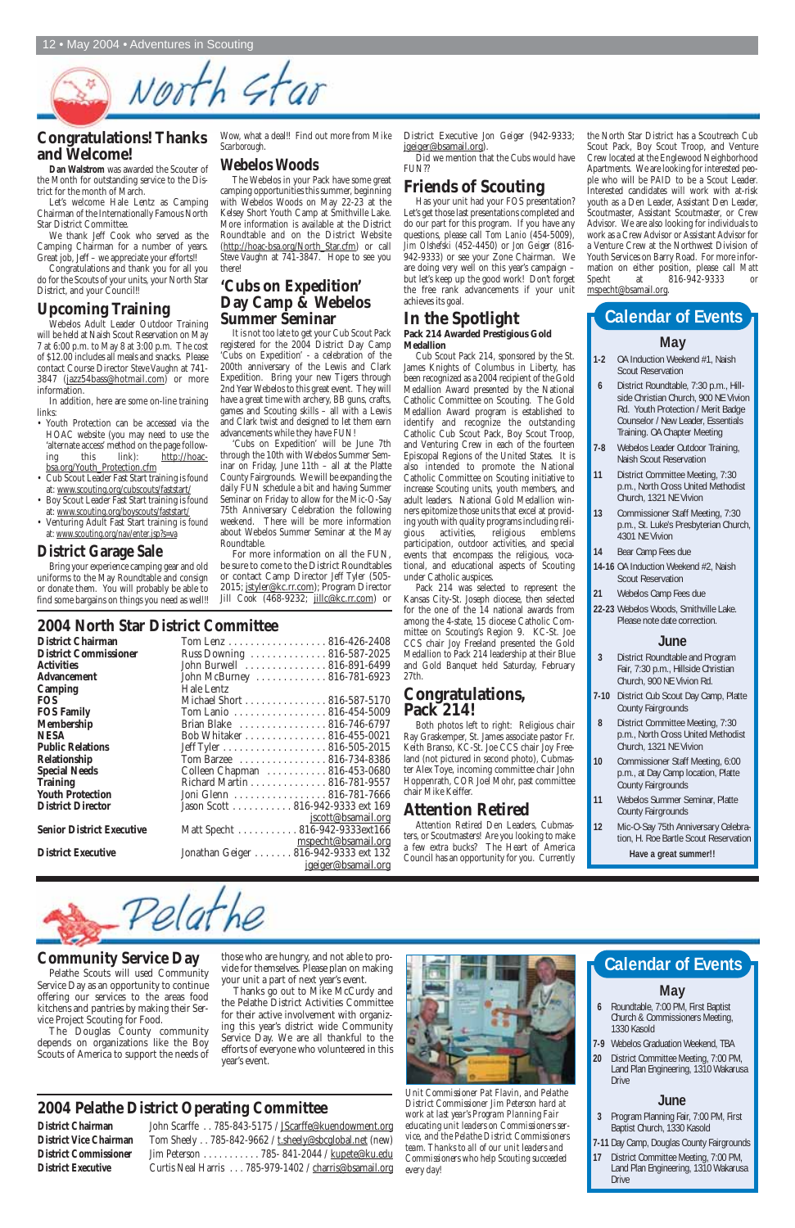# North Star

#### **Community Service Day**

Pelathe Scouts will used Community Service Day as an opportunity to continue offering our services to the areas food kitchens and pantries by making their Service Project Scouting for Food.

The Douglas County community depends on organizations like the Boy Scouts of America to support the needs of

those who are hungry, and not able to provide for themselves. Please plan on making your unit a part of next year's event.

Thanks go out to Mike McCurdy and the Pelathe District Activities Committee for their active involvement with organizing this year's district wide Community Service Day. We are all thankful to the efforts of everyone who volunteered in this year's event.

> *Unit Commissioner Pat Flavin, and Pelathe District Commissioner Jim Peterson hard at work at last year's Program Planning Fair educating unit leaders on Commissioners service, and the Pelathe District Commissioners team. Thanks to all of our unit leaders and Commissioners who help Scouting succeeded every day!*

### **2004 Pelathe District Operating Committee**

Pelathe

#### District Chairman John Scarffe . . 785-843-5175 / JScarffe@kuendowment.org **District Vice Chairman** Tom Sheely . . 785-842-9662 / t.sheely@sbcglobal.net (new) **District Commissioner** Jim Peterson . . . . . . . . . . . 785- 841-2044 / kupete@ku.edu **District Executive** Curtis Neal Harris . . . 785-979-1402 / charris@bsamail.org



Webelos Adult Leader Outdoor Training will be held at Naish Scout Reservation on May 7 at 6:00 p.m. to May 8 at 3:00 p.m. The cost of \$12.00 includes all meals and snacks. Please contact Course Director *Steve Vaughn* at 741- 3847 (jazz54bass@hotmail.com) or more information.

#### **Congratulations! Thanks and Welcome!**

**Dan Walstrom** was awarded the Scouter of the Month for outstanding service to the District for the month of March.

Let's welcome Hale Lentz as Camping Chairman of the Internationally Famous North Star District Committee.

We thank Jeff Cook who served as the Camping Chairman for a number of years. Great job, Jeff – we appreciate your efforts!!

Congratulations and thank you for all you do for the Scouts of your units, your North Star District, and your Council!!

### **Upcoming Training**

For more information on all the FUN, be sure to come to the District Roundtables or contact Camp Director *Jeff Tyler* (505- 2015; jstyler@kc.rr.com); Program Director Jill Cook (468-9232; jillc@kc.rr.com) or

In addition, here are some on-line training links:

- Youth Protection can be accessed via the HOAC website (you may need to use the 'alternate access' method on the page following this link): http://hoacbsa.org/Youth\_Protection.cfm
- Cub Scout Leader Fast Start training is found at: www.scouting.org/cubscouts/faststart/
- Boy Scout Leader Fast Start training is found at: www.scouting.org/boyscouts/faststart/
- Venturing Adult Fast Start training is found at: www.scouting.org/nav/enter.jsp?s=va

#### **District Garage Sale**

Bring your experience camping gear and old uniforms to the May Roundtable and consign or donate them. You will probably be able to find some bargains on things you need as well!! Wow, what a deal!! Find out more from *Mike Scarborough*.

#### **Webelos Woods**

The Webelos in your Pack have some great camping opportunities this summer, beginning with Webelos Woods on May 22-23 at the Kelsey Short Youth Camp at Smithville Lake. More information is available at the District Roundtable and on the District Website (http://hoac-bsa.org/North\_Star.cfm) or call *Steve Vaughn* at 741-3847. Hope to see you there!

#### **'Cubs on Expedition' Day Camp & Webelos Summer Seminar**

It is not too late to get your Cub Scout Pack registered for the 2004 District Day Camp 'Cubs on Expedition' - a celebration of the 200th anniversary of the Lewis and Clark Expedition. Bring your new Tigers through 2nd Year Webelos to this great event. They will have a great time with archery, BB guns, crafts, games and Scouting skills – all with a Lewis and Clark twist and designed to let them earn advancements while they have FUN!

> Pack 214 was selected to represent the Kansas City-St. Joseph diocese, then selected for the one of the 14 national awards from among the 4-state, 15 diocese Catholic Committee on Scouting's Region 9. KC-St. Joe CCS chair Joy Freeland presented the Gold Medallion to Pack 214 leadership at their Blue and Gold Banquet held Saturday, February 27th.

'Cubs on Expedition' will be June 7th through the 10th with Webelos Summer Seminar on Friday, June 11th – all at the Platte County Fairgrounds. We will be expanding the daily FUN schedule a bit and having Summer Seminar on Friday to allow for the Mic-O-Say 75th Anniversary Celebration the following weekend. There will be more information about Webelos Summer Seminar at the May Roundtable.

#### **2004 North Star District Committee**

| <b>District Chairman</b>         | Tom Lenz 816-426-2408                |
|----------------------------------|--------------------------------------|
| <b>District Commissioner</b>     | Russ Downing  816-587-2025           |
| Activities                       | John Burwell  816-891-6499           |
| <b>Advancement</b>               | John McBurney  816-781-6923          |
| <b>Camping</b>                   | Hale Lentz                           |
| FOS.                             | Michael Short 816-587-5170           |
| <b>FOS Family</b>                | Tom Lanio 816-454-5009               |
| <b>Membership</b>                | Brian Blake  816-746-6797            |
| NESA                             | Bob Whitaker 816-455-0021            |
| <b>Public Relations</b>          | Jeff Tyler 816-505-2015              |
| Relationship                     | Tom Barzee 816-734-8386              |
| <b>Special Needs</b>             | Colleen Chapman 816-453-0680         |
| <b>Training</b>                  | Richard Martin 816-781-9557          |
| <b>Youth Protection</b>          | Joni Glenn 816-781-7666              |
| <b>District Director</b>         | Jason Scott 816-942-9333 ext 169     |
|                                  | <u>jscott@bsamail.org</u>            |
| <b>Senior District Executive</b> | Matt Specht 816-942-9333ext166       |
|                                  | mspecht@bsamail.org                  |
| <b>District Executive</b>        | Jonathan Geiger 816-942-9333 ext 132 |
|                                  | jgeiger@bsamail.org                  |

District Executive *Jon Geiger* (942-9333; jgeiger@bsamail.org).

Did we mention that the Cubs would have FUN??

## **Friends of Scouting**

Has your unit had your FOS presentation? Let's get those last presentations completed and do our part for this program. If you have any questions, please call *Tom Lanio* (454-5009), *Jim Olshefski* (452-4450) or *Jon Geiger* (816- 942-9333) or see your Zone Chairman. We are doing very well on this year's campaign – but let's keep up the good work! Don't forget the free rank advancements if your unit achieves its goal.

## **In the Spotlight**

**Pack 214 Awarded Prestigious Gold Medallion**

Cub Scout Pack 214, sponsored by the St. James Knights of Columbus in Liberty, has been recognized as a 2004 recipient of the Gold Medallion Award presented by the National Catholic Committee on Scouting. The Gold Medallion Award program is established to identify and recognize the outstanding Catholic Cub Scout Pack, Boy Scout Troop, and Venturing Crew in each of the fourteen Episcopal Regions of the United States. It is also intended to promote the National Catholic Committee on Scouting initiative to increase Scouting units, youth members, and adult leaders. National Gold Medallion winners epitomize those units that excel at providing youth with quality programs including religious activities, religious emblems participation, outdoor activities, and special events that encompass the religious, vocational, and educational aspects of Scouting under Catholic auspices.

#### **Congratulations, Pack 214!**

Both photos left to right: Religious chair Ray Graskemper, St. James associate pastor Fr. Keith Branso, KC-St. Joe CCS chair Joy Freeland (not pictured in second photo), Cubmaster Alex Toye, incoming committee chair John Hoppenrath, COR Joel Mohr, past committee chair Mike Keiffer.

#### **Attention Retired**

Attention Retired Den Leaders, Cubmasters, or Scoutmasters! Are you looking to make a few extra bucks? The Heart of America Council has an opportunity for you. Currently

the North Star District has a Scoutreach Cub Scout Pack, Boy Scout Troop, and Venture Crew located at the Englewood Neighborhood Apartments. We are looking for interested people who will be PAID to be a Scout Leader. Interested candidates will work with at-risk youth as a Den Leader, Assistant Den Leader, Scoutmaster, Assistant Scoutmaster, or Crew Advisor. We are also looking for individuals to work as a Crew Advisor or Assistant Advisor for a Venture Crew at the Northwest Division of Youth Services on Barry Road. For more information on either position, please call *Matt Specht* at 816-942-9333 or mspecht@bsamail.org.

#### **May**

- **6** Roundtable, 7:00 PM, First Baptist Church & Commissioners Meeting, 1330 Kasold
- **7-9** Webelos Graduation Weekend, TBA
- **20** District Committee Meeting, 7:00 PM, Land Plan Engineering, 1310 Wakarusa Drive

#### **June**

- **3** Program Planning Fair, 7:00 PM, First Baptist Church, 1330 Kasold
- **7-11** Day Camp, Douglas County Fairgrounds
- **17** District Committee Meeting, 7:00 PM, Land Plan Engineering, 1310 Wakarusa Drive

## **Calendar of Events**

#### **May**

- **1-2** OA Induction Weekend #1, Naish Scout Reservation
- **6** District Roundtable, 7:30 p.m., Hillside Christian Church, 900 NE Vivion Rd. Youth Protection / Merit Badge Counselor / New Leader, Essentials Training. OA Chapter Meeting
- **7-8** Webelos Leader Outdoor Training, Naish Scout Reservation
- **11** District Committee Meeting, 7:30 p.m., North Cross United Methodist Church, 1321 NE Vivion
- **13** Commissioner Staff Meeting, 7:30 p.m., St. Luke's Presbyterian Church, 4301 NE Vivion
- **14** Bear Camp Fees due
- **14-16** OA Induction Weekend #2, Naish Scout Reservation
- **21** Webelos Camp Fees due
- **22-23** Webelos Woods, Smithville Lake. Please note date correction.

#### **June**

- **3** District Roundtable and Program Fair, 7:30 p.m., Hillside Christian Church, 900 NE Vivion Rd.
- **7-10** District Cub Scout Day Camp, Platte County Fairgrounds
- **8** District Committee Meeting, 7:30 p.m., North Cross United Methodist Church, 1321 NE Vivion
- **10** Commissioner Staff Meeting, 6:00 p.m., at Day Camp location, Platte County Fairgrounds
- **11** Webelos Summer Seminar, Platte County Fairgrounds
- **12** Mic-O-Say 75th Anniversary Celebration, H. Roe Bartle Scout Reservation

**Have a great summer!!**

## **Calendar of Events**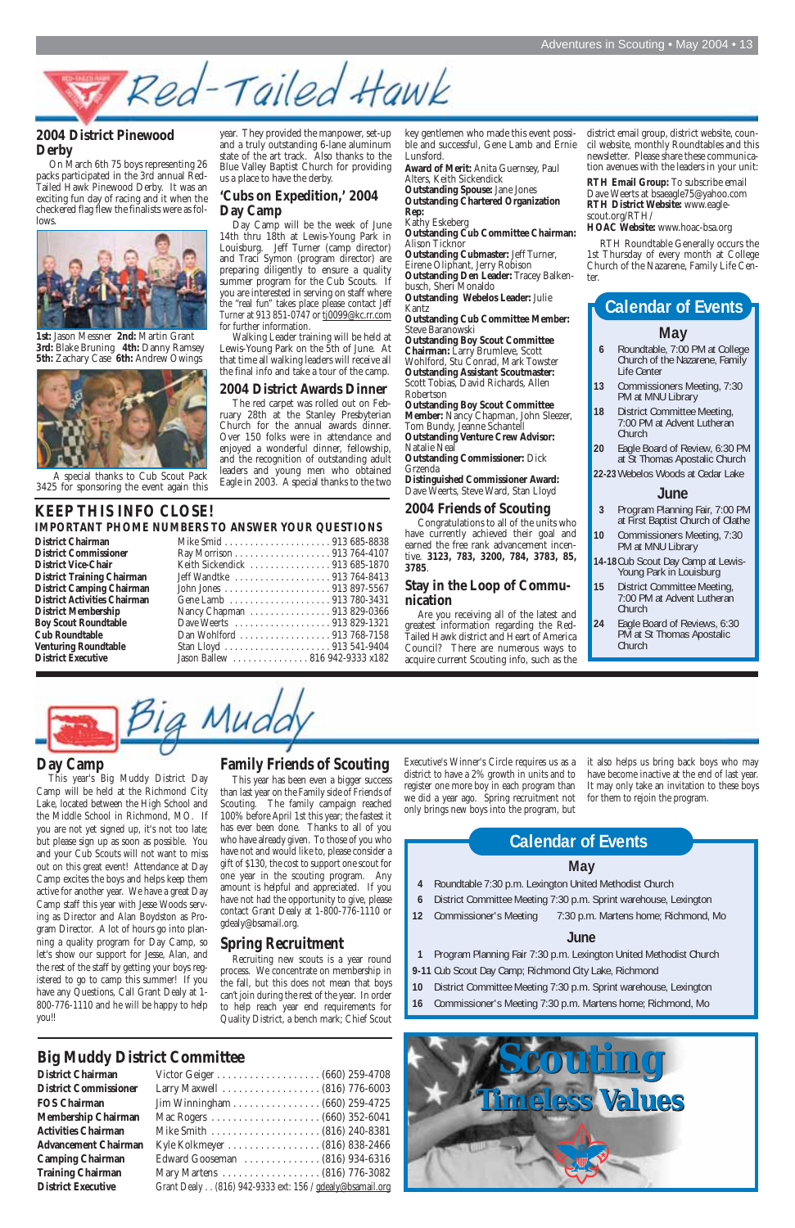#### **Day Camp**

This year's Big Muddy District Day Camp will be held at the Richmond City Lake, located between the High School and the Middle School in Richmond, MO. If you are not yet signed up, it's not too late; but please sign up as soon as possible. You and your Cub Scouts will not want to miss out on this great event! Attendance at Day Camp excites the boys and helps keep them active for another year. We have a great Day Camp staff this year with Jesse Woods serving as Director and Alan Boydston as Program Director. A lot of hours go into planning a quality program for Day Camp, so let's show our support for Jesse, Alan, and the rest of the staff by getting your boys registered to go to camp this summer! If you have any Questions, Call Grant Dealy at 1- 800-776-1110 and he will be happy to help you!!

#### **Family Friends of Scouting**

This year has been even a bigger success than last year on the Family side of Friends of Scouting. The family campaign reached 100% before April 1st this year; the fastest it has ever been done. Thanks to all of you who have already given. To those of you who have not and would like to, please consider a gift of \$130, the cost to support one scout for one year in the scouting program. Any amount is helpful and appreciated. If you have not had the opportunity to give, please contact Grant Dealy at 1-800-776-1110 or gdealy@bsamail.org.

### **Spring Recruitment**

Recruiting new scouts is a year round process. We concentrate on membership in the fall, but this does not mean that boys can't join during the rest of the year. In order to help reach year end requirements for Quality District, a bench mark; Chief Scout Executive's Winner's Circle requires us as a district to have a 2% growth in units and to register one more boy in each program than we did a year ago. Spring recruitment not only brings new boys into the program, but

it also helps us bring back boys who may have become inactive at the end of last year. It may only take an invitation to these boys for them to rejoin the program.

## **Big Muddy District Committee**

**District Chairman District Commissioner FOS Chairman Membership Chairman Activities Chairman Advancement Chairman Camping Chairman Training Chairman District Executive** 

| Jim Winningham (660) 259-4725                            |
|----------------------------------------------------------|
|                                                          |
|                                                          |
|                                                          |
| Edward Gooseman  (816) 934-6316                          |
|                                                          |
| Grant Dealy (816) 942-9333 ext: 156 / gdealy@bsamail.org |

#### **May**

- **4** Roundtable 7:30 p.m. Lexington United Methodist Church
- **6** District Committee Meeting 7:30 p.m. Sprint warehouse, Lexington
- 
- **12** Commissioner's Meeting 7:30 p.m. Martens home; Richmond, Mo

#### **June**

## **KEEP THIS INFO CLOSE! District Commissioner** Ray Morrison . . . . . . . . . . . . . . . . . 913 764-4107 **District Vice-Chair** Keith Sickendick . . . . . . . . . . . . . . . 913 685-1870

- **1** Program Planning Fair 7:30 p.m. Lexington United Methodist Church **9-11** Cub Scout Day Camp; Richmond City Lake, Richmond
- **10** District Committee Meeting 7:30 p.m. Sprint warehouse, Lexington
- **16** Commissioner's Meeting 7:30 p.m. Martens home; Richmond, Mo

#### **IMPORTANT PHOME NUMBERS TO ANSWER YOUR QUESTIONS District Chairman**

| <b>District Commissioner</b>        |
|-------------------------------------|
| <b>District Vice-Chair</b>          |
| <b>District Training Chairman</b>   |
| <b>District Camping Chairmar</b>    |
| <b>District Activities Chairman</b> |
| <b>District Membership</b>          |
| <b>Boy Scout Roundtable</b>         |
| <b>Cub Roundtable</b>               |
| <b>Venturing Roundtable</b>         |
| <b>District Executive</b>           |

## **Calendar of Events**

#### **2004 District Pinewood Derby**

On March 6th 75 boys representing 26 packs participated in the 3rd annual Red-Tailed Hawk Pinewood Derby. It was an exciting fun day of racing and it when the checkered flag flew the finalists were as follows.



**1st:** Jason Messner **2nd:** Martin Grant **3rd:** Blake Bruning **4th:** Danny Ramsey **5th:** Zachary Case **6th:** Andrew Owings



A special thanks to Cub Scout Pack 3425 for sponsoring the event again this

Red-Tailed Hawk

year. They provided the manpower, set-up and a truly outstanding 6-lane aluminum state of the art track. Also thanks to the Blue Valley Baptist Church for providing us a place to have the derby.

#### **'Cubs on Expedition,' 2004 Day Camp**

Day Camp will be the week of June 14th thru 18th at Lewis-Young Park in Louisburg. Jeff Turner (camp director) and Traci Symon (program director) are preparing diligently to ensure a quality summer program for the Cub Scouts. If you are interested in serving on staff where the "real fun" takes place please contact *Jeff Turner* at 913 851-0747 or tj0099@kc.rr.com for further information.

Walking Leader training will be held at Lewis-Young Park on the 5th of June. At that time all walking leaders will receive all the final info and take a tour of the camp.

#### **2004 District Awards Dinner**

The red carpet was rolled out on February 28th at the Stanley Presbyterian Church for the annual awards dinner. Over 150 folks were in attendance and enjoyed a wonderful dinner, fellowship, and the recognition of outstanding adult leaders and young men who obtained Eagle in 2003. A special thanks to the two key gentlemen who made this event possible and successful, Gene Lamb and Ernie Lunsford.

**Award of Merit:** Anita Guernsey, Paul Alters, Keith Sickendick **Outstanding Spouse:** Jane Jones

**Outstanding Chartered Organization Rep:**

Kathy Eskeberg **Outstanding Cub Committee Chairman:** Alison Ticknor

**Outstanding Cubmaster:** Jeff Turner, Eirene Oliphant, Jerry Robison **Outstanding Den Leader:** Tracey Balkenbusch, Sheri Monaldo **Outstanding Webelos Leader:** Julie

Kantz

**Outstanding Cub Committee Member:** Steve Baranowski

**Outstanding Boy Scout Committee Chairman:** Larry Brumleve, Scott Wohlford, Stu Conrad, Mark Towster **Outstanding Assistant Scoutmaster:** Scott Tobias, David Richards, Allen Robertson

**Outstanding Boy Scout Committee** Member: Nancy Chapman, John Sleezer, Tom Bundy, Jeanne Schantell **Outstanding Venture Crew Advisor:**

Natalie Neal **Outstanding Commissioner:** Dick

Grzenda

**Distinguished Commissioner Award:** Dave Weerts, Steve Ward, Stan Lloyd

#### **2004 Friends of Scouting**

Congratulations to all of the units who have currently achieved their goal and earned the free rank advancement incentive. **3123, 783, 3200, 784, 3783, 85, 3785**.

#### **Stay in the Loop of Communication**

Are you receiving all of the latest and greatest information regarding the Red-Tailed Hawk district and Heart of America Council? There are numerous ways to acquire current Scouting info, such as the

| Keith Sickendick  913 685-1870  |
|---------------------------------|
|                                 |
|                                 |
|                                 |
| Nancy Chapman 913 829-0366      |
|                                 |
| Dan Wohlford 913 768-7158       |
|                                 |
| Jason Ballew  816 942-9333 x182 |
|                                 |

a Mud

#### **May**

- **6** Roundtable, 7:00 PM at College Church of the Nazarene, Family Life Center
- **13** Commissioners Meeting, 7:30 PM at MNU Library
- **18** District Committee Meeting, 7:00 PM at Advent Lutheran Church
- **20** Eagle Board of Review, 6:30 PM at St Thomas Apostalic Church
- **22-23**Webelos Woods at Cedar Lake

#### **June**

- **3** Program Planning Fair, 7:00 PM at First Baptist Church of Olathe
- **10** Commissioners Meeting, 7:30 PM at MNU Library
- **14-18**Cub Scout Day Camp at Lewis-Young Park in Louisburg
- **15** District Committee Meeting, 7:00 PM at Advent Lutheran Church
- **24** Eagle Board of Reviews, 6:30 PM at St Thomas Apostalic Church

### **Calendar of Events**

district email group, district website, council website, monthly Roundtables and this newsletter. Please share these communication avenues with the leaders in your unit:

**RTH Email Group:** To subscribe email Dave Weerts at bsaeagle75@yahoo.com **RTH District Website:** www.eaglescout.org/RTH/

**HOAC Website:** www.hoac-bsa.org

RTH Roundtable Generally occurs the 1st Thursday of every month at College Church of the Nazarene, Family Life Center.

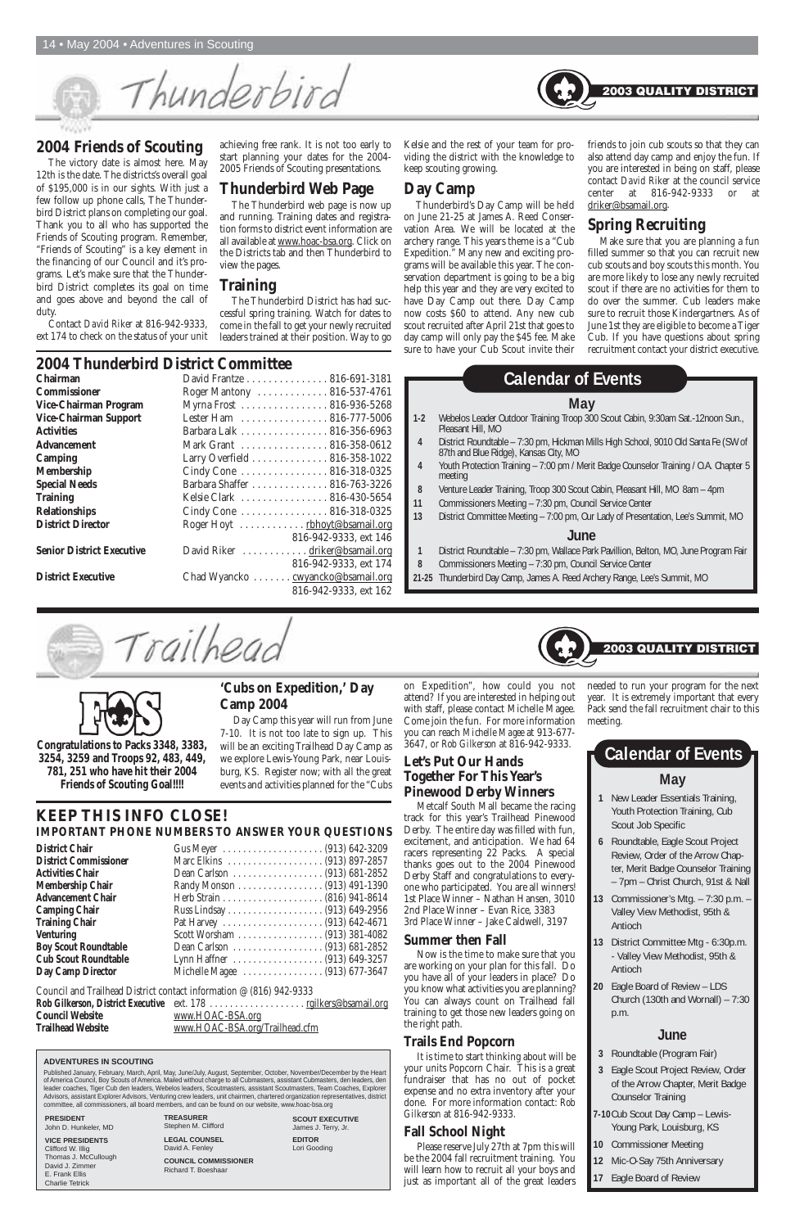#### **2004 Friends of Scouting**

The victory date is almost here. May 12th is the date. The districts's overall goal of \$195,000 is in our sights. With just a few follow up phone calls, The Thunderbird District plans on completing our goal. Thank you to all who has supported the Friends of Scouting program. Remember, "Friends of Scouting" is a key element in the financing of our Council and it's programs. Let's make sure that the Thunderbird District completes its goal on time and goes above and beyond the call of duty.

Contact *David Riker* at 816-942-9333, ext 174 to check on the status of your unit achieving free rank. It is not too early to start planning your dates for the 2004- 2005 Friends of Scouting presentations.

#### **Thunderbird Web Page**

The Thunderbird web page is now up and running. Training dates and registration forms to district event information are all available at www.hoac-bsa.org. Click on the Districts tab and then Thunderbird to view the pages.

#### **Training**

The Thunderbird District has had successful spring training. Watch for dates to come in the fall to get your newly recruited leaders trained at their position. Way to go Kelsie and the rest of your team for providing the district with the knowledge to keep scouting growing.

#### **Day Camp**

Thunderbird's Day Camp will be held on June 21-25 at James A. Reed Conservation Area. We will be located at the archery range. This years theme is a "Cub Expedition." Many new and exciting programs will be available this year. The conservation department is going to be a big help this year and they are very excited to have Day Camp out there. Day Camp now costs \$60 to attend. Any new cub scout recruited after April 21st that goes to day camp will only pay the \$45 fee. Make sure to have your Cub Scout invite their

friends to join cub scouts so that they can also attend day camp and enjoy the fun. If you are interested in being on staff, please contact *David Riker* at the council service center at 816-942-9333 or driker@bsamail.org.

2003 QUALITY DISTRICT

#### **Spring Recruiting**

Make sure that you are planning a fun filled summer so that you can recruit new cub scouts and boy scouts this month. You are more likely to lose any newly recruited scout if there are no activities for them to do over the summer. Cub leaders make sure to recruit those Kindergartners. As of June 1st they are eligible to become a Tiger Cub. If you have questions about spring recruitment contact your district executive.

## **2004 Thunderbird District Committee**

| <b>Chairman</b>                  | David Frantze 816-691-3181        |
|----------------------------------|-----------------------------------|
| <b>Commissioner</b>              | Roger Mantony  816-537-4761       |
| Vice-Chairman Program            | Myrna Frost 816-936-5268          |
| Vice-Chairman Support            | Lester Ham 816-777-5006           |
| Activities                       | Barbara Lalk 816-356-6963         |
| <b>Advancement</b>               | Mark Grant  816-358-0612          |
| Camping                          | Larry Overfield 816-358-1022      |
| <b>Membership</b>                | Cindy Cone 816-318-0325           |
| <b>Special Needs</b>             | Barbara Shaffer 816-763-3226      |
| <b>Training</b>                  | Kelsie Clark  816-430-5654        |
| <b>Relationships</b>             | Cindy Cone  816-318-0325          |
| <b>District Director</b>         | Roger Hoyt rbhoyt@bsamail.org     |
|                                  | 816-942-9333, ext 146             |
| <b>Senior District Executive</b> | David Riker driker@bsamail.org    |
|                                  | 816-942-9333, ext 174             |
| <b>District Executive</b>        | Chad Wyancko cwyancko@bsamail.org |
|                                  | 816-942-9333, ext 162             |

Thunderbird **Trucyles** 

**KEEP THIS INFO CLOSE!**

**IMPORTANT PHONE NUMBERS TO ANSWER YOUR QUESTIONS**

| <b>District Chair</b>        |                                |
|------------------------------|--------------------------------|
| <b>District Commissioner</b> |                                |
| <b>Activities Chair</b>      |                                |
| <b>Membership Chair</b>      |                                |
| <b>Advancement Chair</b>     |                                |
| <b>Camping Chair</b>         |                                |
| <b>Training Chair</b>        |                                |
| <b>Venturing</b>             |                                |
| <b>Boy Scout Roundtable</b>  |                                |
| <b>Cub Scout Roundtable</b>  |                                |
| Day Camp Director            | Michelle Magee  (913) 677-3647 |
|                              |                                |

Council and Trailhead District contact information @ (816) 942-9333

|                          | Rob Gilkerson, District Executive ext. 178 <u>rgilkers@bsamail.org</u> |
|--------------------------|------------------------------------------------------------------------|
| <b>Council Website</b>   | www.HOAC-BSA.org                                                       |
| <b>Trailhead Website</b> | www.HOAC-BSA.org/Trailhead.cfm                                         |

#### **May**

- **1-2** Webelos Leader Outdoor Training Troop 300 Scout Cabin, 9:30am Sat.-12noon Sun., Pleasant Hill, MO
- **4** District Roundtable 7:30 pm, Hickman Mills High School, 9010 Old Santa Fe (SW of 87th and Blue Ridge), Kansas City, MO
- **4** Youth Protection Training 7:00 pm / Merit Badge Counselor Training / O.A. Chapter 5 meeting
- **8** Venture Leader Training, Troop 300 Scout Cabin, Pleasant Hill, MO 8am 4pm
- **11** Commissioners Meeting 7:30 pm, Council Service Center
- **13** District Committee Meeting 7:00 pm, Our Lady of Presentation, Lee's Summit, MO

#### **June**

- **1** District Roundtable 7:30 pm, Wallace Park Pavillion, Belton, MO, June Program Fair
- **8** Commissioners Meeting 7:30 pm, Council Service Center
- **21-25** Thunderbird Day Camp, James A. Reed Archery Range, Lee's Summit, MO

Trailheac



## **Calendar of Events**

**Congratulations to Packs 3348, 3383, 3254, 3259 and Troops 92, 483, 449, 781, 251 who have hit their 2004 Friends of Scouting Goal!!!!**

#### **'Cubs on Expedition,' Day Camp 2004**

Day Camp this year will run from June 7-10. It is not too late to sign up. This will be an exciting Trailhead Day Camp as we explore Lewis-Young Park, near Louisburg, KS. Register now; with all the great events and activities planned for the "Cubs

on Expedition", how could you not attend? If you are interested in helping out with staff, please contact Michelle Magee. Come join the fun. For more information you can reach *Michelle Magee* at 913-677- 3647, or *Rob Gilkerson* at 816-942-9333.

#### **Let's Put Our Hands Together For This Year's Pinewood Derby Winners**

Metcalf South Mall became the racing track for this year's Trailhead Pinewood Derby. The entire day was filled with fun, excitement, and anticipation. We had 64 racers representing 22 Packs. A special thanks goes out to the 2004 Pinewood Derby Staff and congratulations to everyone who participated. You are all winners! 1st Place Winner – Nathan Hansen, 3010

2nd Place Winner – Evan Rice, 3383 3rd Place Winner – Jake Caldwell, 3197

#### **Summer then Fall**

Now is the time to make sure that you are working on your plan for this fall. Do you have all of your leaders in place? Do you know what activities you are planning? You can always count on Trailhead fall training to get those new leaders going on the right path.

#### **Trails End Popcorn**

It is time to start thinking about will be your units Popcorn Chair. This is a great fundraiser that has no out of pocket expense and no extra inventory after your done. For more information contact: *Rob Gilkerson* at 816-942-9333.

#### **Fall School Night**

Please reserve July 27th at 7pm this will be the 2004 fall recruitment training. You will learn how to recruit all your boys and just as important all of the great leaders

- **1** New Leader Essentials Training, Youth Protection Training, Cub Scout Job Specific
- **6** Roundtable, Eagle Scout Project Review, Order of the Arrow Chapter, Merit Badge Counselor Training – 7pm – Christ Church, 91st & Nall
- **13** Commissioner's Mtg. 7:30 p.m. –

Valley View Methodist, 95th & Antioch

## **May Calendar of Events**

- **13** District Committee Mtg 6:30p.m. - Valley View Methodist, 95th & Antioch
- **20** Eagle Board of Review LDS Church (130th and Wornall) – 7:30 p.m.

#### **June**

- **3** Roundtable (Program Fair)
- **3** Eagle Scout Project Review, Order of the Arrow Chapter, Merit Badge Counselor Training
- **7-10**Cub Scout Day Camp Lewis-Young Park, Louisburg, KS
- **10** Commissioner Meeting
- **12** Mic-O-Say 75th Anniversary
- **17** Eagle Board of Review

#### **ADVENTURES IN SCOUTING**

Published January, February, March, April, May, June/July, August, September, October, November/December by the Heart of America Council, Boy Scouts of America. Mailed without charge to all Cubmasters, assistant Cubmasters, den leaders, den leader coaches, Tiger Cub den leaders, Webelos leaders, Scoutmasters, assistant Scoutmasters, Team Coaches, Explorer Advisors, assistant Explorer Advisors, Venturing crew leaders, unit chairmen, chartered organization representatives, district committee, all commissioners, all board members, and can be found on our website, www.hoac-bsa.org

> **TREASURER** Stephen M. Clifford

**LEGAL COUNSEL** David A. Fenley

**COUNCIL COMMISSIONER** Richard T. Boeshaar

**SCOUT EXECUTIVE** James J. Terry, Jr.

**EDITOR** Lori Gooding

#### **PRESIDENT**

John D. Hunkeler, MD

#### **VICE PRESIDENTS**

Clifford W. Illig Thomas J. McCullough David J. Zimmer E. Frank Ellis Charlie Tetrick

needed to run your program for the next year. It is extremely important that every Pack send the fall recruitment chair to this meeting.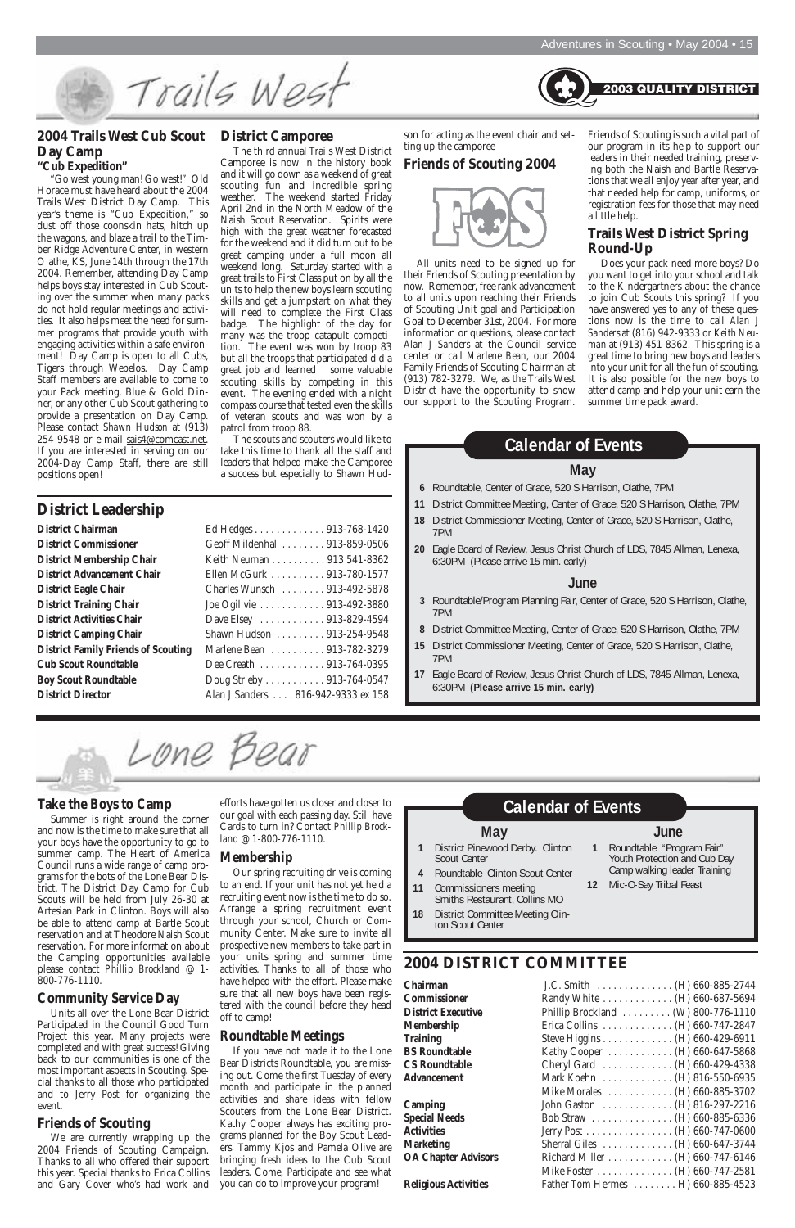Trails West

#### **2004 Trails West Cub Scout District Camporee Day Camp "Cub Expedition"**

"Go west young man! Go west!" Old Horace must have heard about the 2004 Trails West District Day Camp. This year's theme is "Cub Expedition," so dust off those coonskin hats, hitch up the wagons, and blaze a trail to the Timber Ridge Adventure Center, in western Olathe, KS, June 14th through the 17th 2004. Remember, attending Day Camp helps boys stay interested in Cub Scouting over the summer when many packs do not hold regular meetings and activities. It also helps meet the need for summer programs that provide youth with engaging activities within a safe environment! Day Camp is open to all Cubs, Tigers through Webelos. Day Camp Staff members are available to come to your Pack meeting, Blue & Gold Dinner, or any other Cub Scout gathering to provide a presentation on Day Camp. Please contact *Shawn Hudson* at (913) 254-9548 or e-mail sais4@comcast.net. If you are interested in serving on our 2004-Day Camp Staff, there are still positions open!

The third annual Trails West District Camporee is now in the history book and it will go down as a weekend of great scouting fun and incredible spring weather. The weekend started Friday April 2nd in the North Meadow of the Naish Scout Reservation. Spirits were high with the great weather forecasted for the weekend and it did turn out to be great camping under a full moon all weekend long. Saturday started with a great trails to First Class put on by all the units to help the new boys learn scouting skills and get a jumpstart on what they will need to complete the First Class badge. The highlight of the day for many was the troop catapult competition. The event was won by troop 83 but all the troops that participated did a great job and learned some valuable scouting skills by competing in this event. The evening ended with a night compass course that tested even the skills of veteran scouts and was won by a patrol from troop 88.

The scouts and scouters would like to take this time to thank all the staff and leaders that helped make the Camporee a success but especially to Shawn Hudson for acting as the event chair and setting up the camporee

#### **Friends of Scouting 2004**



All units need to be signed up for their Friends of Scouting presentation by now. Remember, free rank advancement to all units upon reaching their Friends of Scouting Unit goal and Participation Goal to December 31st, 2004. For more information or questions, please contact *Alan J Sanders* at the Council service center or call *Marlene Bean*, our 2004 Family Friends of Scouting Chairman at (913) 782-3279. We, as the Trails West District have the opportunity to show our support to the Scouting Program. Friends of Scouting is such a vital part of our program in its help to support our leaders in their needed training, preserving both the Naish and Bartle Reservations that we all enjoy year after year, and that needed help for camp, uniforms, or registration fees for those that may need a little help.

**2003 QUALITY DISTRICT** 

#### **Trails West District Spring Round-Up**

Does your pack need more boys? Do you want to get into your school and talk to the Kindergartners about the chance to join Cub Scouts this spring? If you have answered yes to any of these questions now is the time to call *Alan J Sanders* at (816) 942-9333 or *Keith Neuman* at (913) 451-8362. This spring is a great time to bring new boys and leaders into your unit for all the fun of scouting. It is also possible for the new boys to attend camp and help your unit earn the summer time pack award.

**District Leadership**

| District measurement                       |                                    |
|--------------------------------------------|------------------------------------|
| <b>District Chairman</b>                   | Ed Hedges 913-768-1420             |
| <b>District Commissioner</b>               | Geoff Mildenhall 913-859-0506      |
| <b>District Membership Chair</b>           | Keith Neuman 913 541-8362          |
| <b>District Advancement Chair</b>          | Ellen McGurk 913-780-1577          |
| <b>District Eagle Chair</b>                | Charles Wunsch  913-492-5878       |
| <b>District Training Chair</b>             | Joe Ogilivie 913-492-3880          |
| <b>District Activities Chair</b>           | Dave Elsey  913-829-4594           |
| <b>District Camping Chair</b>              | Shawn Hudson 913-254-9548          |
| <b>District Family Friends of Scouting</b> | Marlene Bean 913-782-3279          |
| <b>Cub Scout Roundtable</b>                | Dee Creath  913-764-0395           |
| <b>Boy Scout Roundtable</b>                | Doug Strieby 913-764-0547          |
| <b>District Director</b>                   | Alan J Sanders 816-942-9333 ex 158 |

#### **Take the Boys to Camp**

Summer is right around the corner and now is the time to make sure that all your boys have the opportunity to go to summer camp. The Heart of America Council runs a wide range of camp programs for the bots of the Lone Bear District. The District Day Camp for Cub Scouts will be held from July 26-30 at Artesian Park in Clinton. Boys will also be able to attend camp at Bartle Scout reservation and at Theodore Naish Scout reservation. For more information about the Camping opportunities available please contact *Phillip Brockland* @ 1- 800-776-1110.

#### **Community Service Day**

Units all over the Lone Bear District Participated in the Council Good Turn Project this year. Many projects were completed and with great success! Giving back to our communities is one of the most important aspects in Scouting. Special thanks to all those who participated and to Jerry Post for organizing the event.

#### **Friends of Scouting**

We are currently wrapping up the 2004 Friends of Scouting Campaign. Thanks to all who offered their support this year. Special thanks to Erica Collins and Gary Cover who's had work and

efforts have gotten us closer and closer to our goal with each passing day. Still have Cards to turn in? Contact *Phillip Brockland* @ 1-800-776-1110.

#### **Membership**

Our spring recruiting drive is coming to an end. If your unit has not yet held a recruiting event now is the time to do so. Arrange a spring recruitment event through your school, Church or Community Center. Make sure to invite all prospective new members to take part in your units spring and summer time activities. Thanks to all of those who have helped with the effort. Please make sure that all new boys have been registered with the council before they head off to camp!

#### **Roundtable Meetings**

If you have not made it to the Lone Bear Districts Roundtable, you are missing out. Come the first Tuesday of every month and participate in the planned activities and share ideas with fellow Scouters from the Lone Bear District. Kathy Cooper always has exciting programs planned for the Boy Scout Leaders. Tammy Kjos and Pamela Olive are bringing fresh ideas to the Cub Scout leaders. Come, Participate and see what you can do to improve your program!

| Chairman                    |                                    |
|-----------------------------|------------------------------------|
| <b>Commissioner</b>         | Randy White (H) 660-687-5694       |
| <b>District Executive</b>   | Phillip Brockland (W) 800-776-1110 |
| <b>Membership</b>           | Erica Collins (H) $660-747-2847$   |
| <b>Training</b>             | Steve Higgins (H) 660-429-6911     |
| <b>BS</b> Roundtable        | Kathy Cooper (H) 660-647-5868      |
| <b>CS Roundtable</b>        | Cheryl Gard (H) 660-429-4338       |
| <b>Advancement</b>          | Mark Koehn (H) 816-550-6935        |
|                             | Mike Morales  (H) 660-885-3702     |
| Camping                     | John Gaston (H) 816-297-2216       |
| <b>Special Needs</b>        | Bob Straw (H) $660-885-6336$       |
| <b>Activities</b>           | Jerry Post (H) 660-747-0600        |
| <b>Marketing</b>            | Sherral Giles  (H) 660-647-3744    |
| <b>OA Chapter Advisors</b>  | Richard Miller (H) 660-747-6146    |
|                             | Mike Foster (H) $660-747-2581$     |
| <b>Religious Activities</b> | Father Tom Hermes H) 660-885-4523  |

**2004 DISTRICT COMMITTEE Commissioner District Executive 18** District Committee Meeting Clinton Scout Center

#### **Membership BS Roundtable CS Roundtable** Advancement

#### **May**

- **6** Roundtable, Center of Grace, 520 S Harrison, Olathe, 7PM
- **11** District Committee Meeting, Center of Grace, 520 S Harrison, Olathe, 7PM
- **18** District Commissioner Meeting, Center of Grace, 520 S Harrison, Olathe, 7PM
- **20** Eagle Board of Review, Jesus Christ Church of LDS, 7845 Allman, Lenexa, 6:30PM (Please arrive 15 min. early)

#### **June**

- **3** Roundtable/Program Planning Fair, Center of Grace, 520 S Harrison, Olathe, 7PM
- **8** District Committee Meeting, Center of Grace, 520 S Harrison, Olathe, 7PM
- **15** District Commissioner Meeting, Center of Grace, 520 S Harrison, Olathe, 7PM
- **17** Eagle Board of Review, Jesus Christ Church of LDS, 7845 Allman, Lenexa, 6:30PM **(Please arrive 15 min. early)**

Lone Bear

### **Calendar of Events**

#### **May**

- **1** District Pinewood Derby. Clinton Scout Center
- **4** Roundtable Clinton Scout Center
- **11** Commissioners meeting Smiths Restaurant, Collins MO

#### **June**

- **1** Roundtable "Program Fair" Youth Protection and Cub Day Camp walking leader Training
- **12** Mic-O-Say Tribal Feast

#### **Calendar of Events**